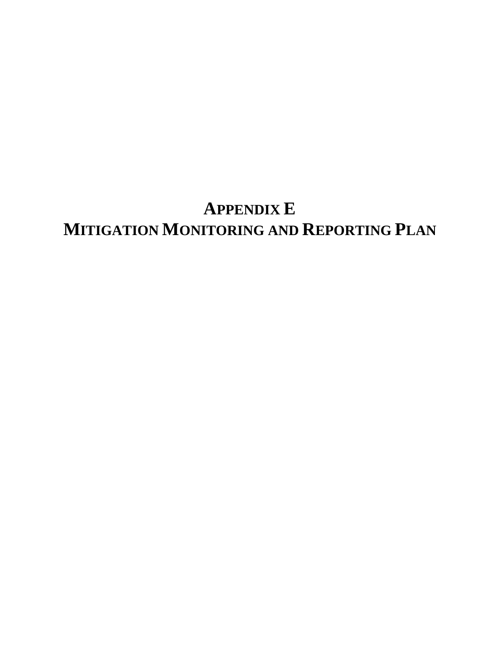## **APPENDIX E MITIGATION MONITORING AND REPORTING PLAN**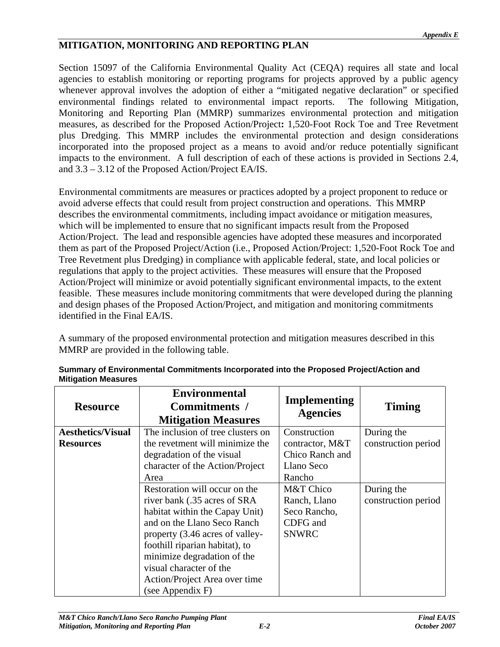## **MITIGATION, MONITORING AND REPORTING PLAN**

Section 15097 of the California Environmental Quality Act (CEQA) requires all state and local agencies to establish monitoring or reporting programs for projects approved by a public agency whenever approval involves the adoption of either a "mitigated negative declaration" or specified environmental findings related to environmental impact reports. The following Mitigation, Monitoring and Reporting Plan (MMRP) summarizes environmental protection and mitigation measures, as described for the Proposed Action/Project**:** 1,520-Foot Rock Toe and Tree Revetment plus Dredging. This MMRP includes the environmental protection and design considerations incorporated into the proposed project as a means to avoid and/or reduce potentially significant impacts to the environment. A full description of each of these actions is provided in Sections 2.4, and 3.3 – 3.12 of the Proposed Action/Project EA/IS.

Environmental commitments are measures or practices adopted by a project proponent to reduce or avoid adverse effects that could result from project construction and operations. This MMRP describes the environmental commitments, including impact avoidance or mitigation measures, which will be implemented to ensure that no significant impacts result from the Proposed Action/Project. The lead and responsible agencies have adopted these measures and incorporated them as part of the Proposed Project/Action (i.e., Proposed Action/Project: 1,520-Foot Rock Toe and Tree Revetment plus Dredging) in compliance with applicable federal, state, and local policies or regulations that apply to the project activities. These measures will ensure that the Proposed Action/Project will minimize or avoid potentially significant environmental impacts, to the extent feasible. These measures include monitoring commitments that were developed during the planning and design phases of the Proposed Action/Project, and mitigation and monitoring commitments identified in the Final EA/IS.

A summary of the proposed environmental protection and mitigation measures described in this MMRP are provided in the following table.

| <b>Resource</b>          | <b>Environmental</b><br>Commitments /<br><b>Mitigation Measures</b>                                                                                                                                                                                                                                                   | Implementing<br><b>Agencies</b>                   | <b>Timing</b>                     |
|--------------------------|-----------------------------------------------------------------------------------------------------------------------------------------------------------------------------------------------------------------------------------------------------------------------------------------------------------------------|---------------------------------------------------|-----------------------------------|
| <b>Aesthetics/Visual</b> | The inclusion of tree clusters on                                                                                                                                                                                                                                                                                     | Construction                                      | During the                        |
| <b>Resources</b>         | the revetment will minimize the<br>degradation of the visual<br>character of the Action/Project                                                                                                                                                                                                                       | contractor, M&T<br>Chico Ranch and<br>Llano Seco  | construction period               |
|                          | Area                                                                                                                                                                                                                                                                                                                  | Rancho<br>M&T Chico                               |                                   |
|                          | Restoration will occur on the<br>river bank (.35 acres of SRA<br>habitat within the Capay Unit)<br>and on the Llano Seco Ranch<br>property (3.46 acres of valley-<br>foothill riparian habitat), to<br>minimize degradation of the<br>visual character of the<br>Action/Project Area over time<br>(see Appendix $F$ ) | Ranch, Llano<br>Seco Rancho,<br>CDFG and<br>SNWRC | During the<br>construction period |

**Summary of Environmental Commitments Incorporated into the Proposed Project/Action and Mitigation Measures**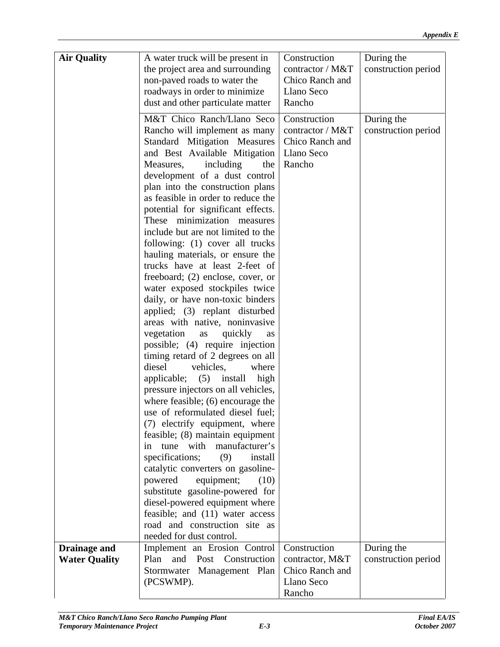| <b>Air Quality</b>   | A water truck will be present in<br>the project area and surrounding                               | Construction<br>contractor / M&T | During the<br>construction period |
|----------------------|----------------------------------------------------------------------------------------------------|----------------------------------|-----------------------------------|
|                      | non-paved roads to water the<br>roadways in order to minimize                                      | Chico Ranch and<br>Llano Seco    |                                   |
|                      | dust and other particulate matter                                                                  | Rancho                           |                                   |
|                      | M&T Chico Ranch/Llano Seco   Construction                                                          |                                  | During the                        |
|                      | Rancho will implement as many   contractor / M&T<br>Standard Mitigation Measures   Chico Ranch and |                                  | construction period               |
|                      | and Best Available Mitigation   Llano Seco                                                         |                                  |                                   |
|                      | including the Rancho<br>Measures,                                                                  |                                  |                                   |
|                      | development of a dust control<br>plan into the construction plans                                  |                                  |                                   |
|                      | as feasible in order to reduce the                                                                 |                                  |                                   |
|                      | potential for significant effects.                                                                 |                                  |                                   |
|                      | These minimization measures<br>include but are not limited to the                                  |                                  |                                   |
|                      | following: (1) cover all trucks                                                                    |                                  |                                   |
|                      | hauling materials, or ensure the                                                                   |                                  |                                   |
|                      | trucks have at least 2-feet of<br>freeboard; (2) enclose, cover, or                                |                                  |                                   |
|                      | water exposed stockpiles twice                                                                     |                                  |                                   |
|                      | daily, or have non-toxic binders                                                                   |                                  |                                   |
|                      | applied; (3) replant disturbed                                                                     |                                  |                                   |
|                      | areas with native, noninvasive<br>as quickly as<br>vegetation                                      |                                  |                                   |
|                      | possible; (4) require injection                                                                    |                                  |                                   |
|                      | timing retard of 2 degrees on all                                                                  |                                  |                                   |
|                      | vehicles,<br>where<br>diesel                                                                       |                                  |                                   |
|                      | applicable; (5) install high                                                                       |                                  |                                   |
|                      | pressure injectors on all vehicles,<br>where feasible; $(6)$ encourage the                         |                                  |                                   |
|                      | use of reformulated diesel fuel;                                                                   |                                  |                                   |
|                      | (7) electrify equipment, where                                                                     |                                  |                                   |
|                      | feasible; (8) maintain equipment                                                                   |                                  |                                   |
|                      | in tune with manufacturer's<br>specifications; (9)<br>install                                      |                                  |                                   |
|                      | catalytic converters on gasoline-                                                                  |                                  |                                   |
|                      | powered equipment; (10)                                                                            |                                  |                                   |
|                      | substitute gasoline-powered for                                                                    |                                  |                                   |
|                      | diesel-powered equipment where<br>feasible; and (11) water access                                  |                                  |                                   |
|                      | road and construction site as                                                                      |                                  |                                   |
|                      | needed for dust control.                                                                           |                                  |                                   |
| <b>Drainage and</b>  | Implement an Erosion Control   Construction                                                        |                                  | During the                        |
| <b>Water Quality</b> | Plan and Post Construction   contractor, M&T<br>Stormwater Management Plan   Chico Ranch and       |                                  | construction period               |
|                      | (PCSWMP).                                                                                          | Llano Seco                       |                                   |
|                      |                                                                                                    | Rancho                           |                                   |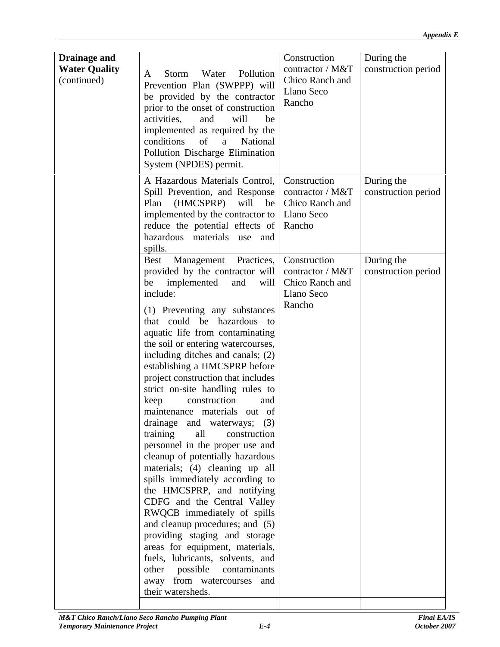| <b>Drainage and</b><br><b>Water Quality</b> | A Storm Water Pollution contractor / M&T construction period                                                        | Construction | During the |  |
|---------------------------------------------|---------------------------------------------------------------------------------------------------------------------|--------------|------------|--|
| (continued)                                 | Prevention Plan (SWPPP) will Chico Ranch and                                                                        |              |            |  |
|                                             | $\vert$ be provided by the contractor $\vert$ Llano Seco<br>$\frac{1}{2}$ prior to the onset of construction Rancho |              |            |  |
|                                             | will be<br>activities, and                                                                                          |              |            |  |
|                                             | implemented as required by the                                                                                      |              |            |  |
|                                             | conditions of a National                                                                                            |              |            |  |
|                                             | Pollution Discharge Elimination                                                                                     |              |            |  |
|                                             | System (NPDES) permit.                                                                                              |              |            |  |
|                                             | A Hazardous Materials Control, Construction                                                                         |              | During the |  |
|                                             | Spill Prevention, and Response   contractor / M&T   construction period                                             |              |            |  |
|                                             | Plan $(HMCSPRP)$ will be Chico Ranch and                                                                            |              |            |  |
|                                             | implemented by the contractor to   Llano Seco                                                                       |              |            |  |
|                                             | reduce the potential effects of Rancho                                                                              |              |            |  |
|                                             | hazardous materials use and                                                                                         |              |            |  |
|                                             | spills.                                                                                                             |              |            |  |
|                                             | Best Management Practices, Construction                                                                             |              | During the |  |
|                                             | provided by the contractor will $\vert$ contractor / M&T $\vert$ construction period $\vert$                        |              |            |  |
|                                             | be implemented and will Chico Ranch and                                                                             |              |            |  |
|                                             | include:                                                                                                            | Llano Seco   |            |  |
|                                             | $(1)$ Preventing any substances                                                                                     | Rancho       |            |  |
|                                             | that could be hazardous to                                                                                          |              |            |  |
|                                             | aquatic life from contaminating                                                                                     |              |            |  |
|                                             | the soil or entering watercourses,                                                                                  |              |            |  |
|                                             | including ditches and canals; $(2)$                                                                                 |              |            |  |
|                                             | establishing a HMCSPRP before                                                                                       |              |            |  |
|                                             | project construction that includes<br>strict on-site handling rules to                                              |              |            |  |
|                                             | construction and                                                                                                    |              |            |  |
|                                             | keep<br>maintenance materials out of                                                                                |              |            |  |
|                                             | drainage and waterways; $(3)$                                                                                       |              |            |  |
|                                             | training all construction                                                                                           |              |            |  |
|                                             | personnel in the proper use and                                                                                     |              |            |  |
|                                             | cleanup of potentially hazardous                                                                                    |              |            |  |
|                                             | materials; (4) cleaning up all                                                                                      |              |            |  |
|                                             | spills immediately according to                                                                                     |              |            |  |
|                                             | the HMCSPRP, and notifying                                                                                          |              |            |  |
|                                             | CDFG and the Central Valley                                                                                         |              |            |  |
|                                             | RWQCB immediately of spills<br>and cleanup procedures; and $(5)$                                                    |              |            |  |
|                                             | providing staging and storage                                                                                       |              |            |  |
|                                             | areas for equipment, materials,                                                                                     |              |            |  |
|                                             | fuels, lubricants, solvents, and                                                                                    |              |            |  |
|                                             | other possible contaminants                                                                                         |              |            |  |
|                                             | away from watercourses and                                                                                          |              |            |  |
|                                             | their watersheds.                                                                                                   |              |            |  |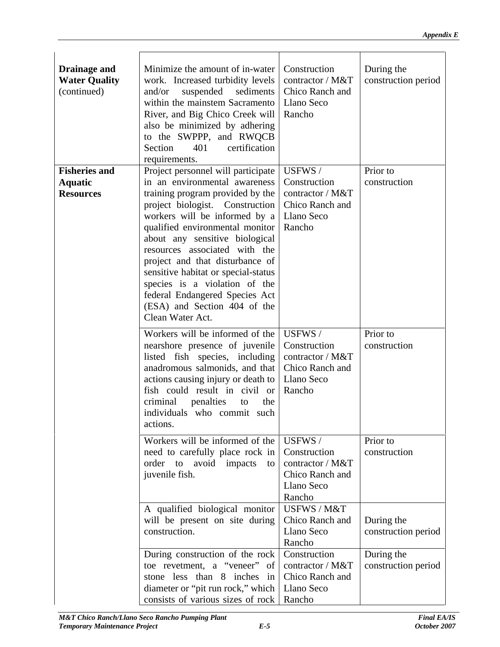| <b>Drainage and</b>  | Minimize the amount of in-water   Construction                                                |                 | During the          |
|----------------------|-----------------------------------------------------------------------------------------------|-----------------|---------------------|
| <b>Water Quality</b> | work. Increased turbidity levels $\vert$ contractor / M&T $\vert$ construction period $\vert$ |                 |                     |
| (continued)          | and/or suspended sediments Chico Ranch and                                                    |                 |                     |
|                      | within the mainstem Sacramento   Llano Seco                                                   |                 |                     |
|                      | River, and Big Chico Creek will   Rancho                                                      |                 |                     |
|                      | also be minimized by adhering                                                                 |                 |                     |
|                      | to the SWPPP, and RWQCB                                                                       |                 |                     |
|                      | Section 401 certification                                                                     |                 |                     |
|                      | requirements.                                                                                 |                 |                     |
| <b>Fisheries and</b> | Project personnel will participate   USFWS /                                                  |                 | Prior to            |
|                      | in an environmental awareness Construction                                                    |                 |                     |
| Aquatic              |                                                                                               |                 | construction        |
| <b>Resources</b>     | training program provided by the $\vert$ contractor / M&T                                     |                 |                     |
|                      | project biologist. Construction   Chico Ranch and                                             |                 |                     |
|                      | workers will be informed by a Llano Seco                                                      |                 |                     |
|                      | qualified environmental monitor   Rancho                                                      |                 |                     |
|                      | about any sensitive biological                                                                |                 |                     |
|                      | resources associated with the                                                                 |                 |                     |
|                      | project and that disturbance of                                                               |                 |                     |
|                      | sensitive habitat or special-status                                                           |                 |                     |
|                      | species is a violation of the                                                                 |                 |                     |
|                      | federal Endangered Species Act                                                                |                 |                     |
|                      | $(ESA)$ and Section 404 of the                                                                |                 |                     |
|                      | Clean Water Act.                                                                              |                 |                     |
|                      |                                                                                               |                 |                     |
|                      | Workers will be informed of the USFWS /                                                       |                 | Prior to            |
|                      | nearshore presence of juvenile Construction                                                   |                 | construction        |
|                      | listed fish species, including contractor / $M&T$                                             |                 |                     |
|                      | anadromous salmonids, and that Chico Ranch and                                                |                 |                     |
|                      | actions causing injury or death to   Llano Seco                                               |                 |                     |
|                      | fish could result in civil or Rancho                                                          |                 |                     |
|                      | $\alpha$ criminal penalties to the                                                            |                 |                     |
|                      | individuals who commit such                                                                   |                 |                     |
|                      | actions.                                                                                      |                 |                     |
|                      |                                                                                               |                 |                     |
|                      | Workers will be informed of the $\vert$ USFWS /                                               |                 | Prior to            |
|                      | need to carefully place rock in Construction                                                  |                 | construction        |
|                      | order to avoid impacts to contractor / M&T                                                    |                 |                     |
|                      | juvenile fish.                                                                                | Chico Ranch and |                     |
|                      |                                                                                               | Llano Seco      |                     |
|                      |                                                                                               | Rancho          |                     |
|                      | A qualified biological monitor   USFWS / M&T                                                  |                 |                     |
|                      | will be present on site during Chico Ranch and During the                                     |                 |                     |
|                      | construction.                                                                                 | Llano Seco      | construction period |
|                      |                                                                                               | Rancho          |                     |
|                      | During construction of the rock   Construction                                                |                 | During the          |
|                      | toe revetment, a "veneer" of   contractor / M&T   construction period                         |                 |                     |
|                      |                                                                                               |                 |                     |
|                      | stone less than $8$ inches in Chico Ranch and                                                 |                 |                     |
|                      | diameter or "pit run rock," which   Llano Seco                                                |                 |                     |
|                      | consists of various sizes of rock   Rancho                                                    |                 |                     |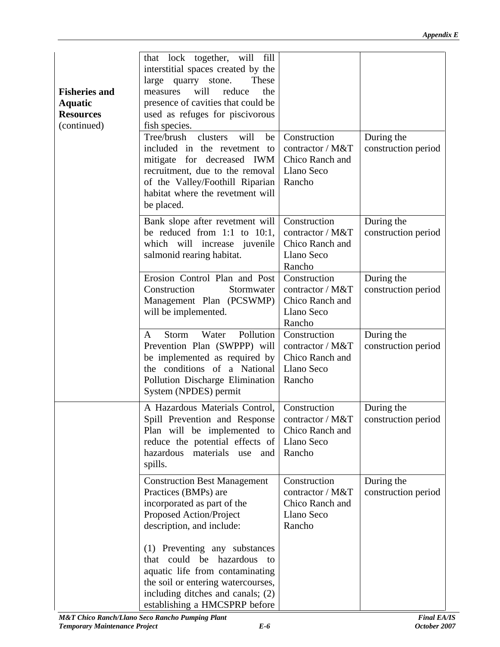| <b>Fisheries and</b><br><b>Aquatic</b><br><b>Resources</b><br>(continued) | that lock together, will fill<br>interstitial spaces created by the<br>  large quarry stone. These  <br>measures will reduce the<br>presence of cavities that could be<br>used as refuges for piscivorous<br>fish species.<br>Tree/brush clusters will be Construction<br>mitigate for decreased IWM Chico Ranch and<br>recruitment, due to the removal   Llano Seco<br>of the Valley/Foothill Riparian   Rancho<br>habitat where the revetment will<br>be placed. | During the<br>included in the revetment to contractor / $M&T$ construction period                                     |  |  |  |  |
|---------------------------------------------------------------------------|--------------------------------------------------------------------------------------------------------------------------------------------------------------------------------------------------------------------------------------------------------------------------------------------------------------------------------------------------------------------------------------------------------------------------------------------------------------------|-----------------------------------------------------------------------------------------------------------------------|--|--|--|--|
|                                                                           | Bank slope after revetment will Construction<br>which will increase juvenile $ $ Chico Ranch and<br>salmonid rearing habitat.                                                                                                                                                                                                                                                                                                                                      | During the<br>be reduced from 1:1 to 10:1, contractor / M&T $\vert$ construction period $\vert$<br>Llano Seco         |  |  |  |  |
|                                                                           | Erosion Control Plan and Post Construction<br>Construction<br>Management Plan (PCSWMP) Chico Ranch and<br>will be implemented.                                                                                                                                                                                                                                                                                                                                     | Rancho<br>During the<br>Stormwater   contractor / M&T   construction period  <br>Llano Seco<br>Rancho                 |  |  |  |  |
|                                                                           | A Storm Water Pollution Construction<br>be implemented as required by $\vert$ Chico Ranch and<br>the conditions of a National Llano Seco<br>Pollution Discharge Elimination   Rancho<br>System (NPDES) permit                                                                                                                                                                                                                                                      | During the<br>Prevention Plan (SWPPP) will $\vert$ contractor / M&T $\vert$ construction period $\vert$               |  |  |  |  |
|                                                                           | A Hazardous Materials Control, Construction<br>Plan will be implemented to $ $ Chico Ranch and<br>reduce the potential effects of Llano Seco<br>hazardous materials use and Rancho<br>spills.                                                                                                                                                                                                                                                                      | During the<br>Spill Prevention and Response   contractor / M&T   construction period                                  |  |  |  |  |
|                                                                           | Construction Best Management   Construction<br>Practices (BMPs) are<br>incorporated as part of the<br>Proposed Action/Project<br>description, and include:                                                                                                                                                                                                                                                                                                         | During the<br>$\vert$ contractor / M&T $\vert$ construction period $\vert$<br>Chico Ranch and<br>Llano Seco<br>Rancho |  |  |  |  |
|                                                                           | (1) Preventing any substances<br>that could be hazardous to<br>aquatic life from contaminating<br>the soil or entering watercourses,<br>including ditches and canals; $(2)$<br>establishing a HMCSPRP before                                                                                                                                                                                                                                                       |                                                                                                                       |  |  |  |  |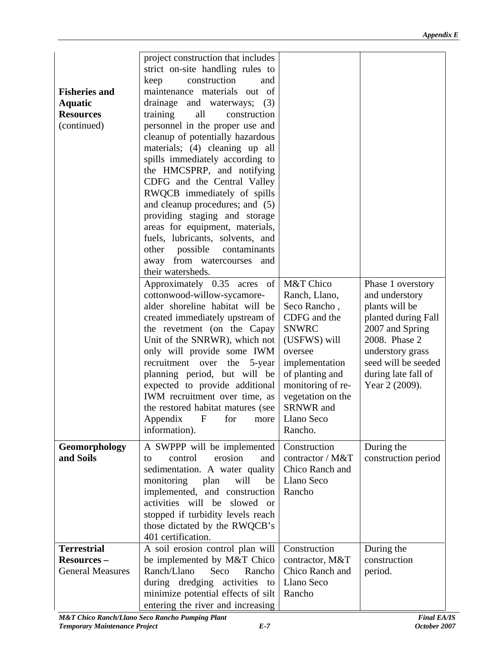|                         | project construction that includes                                                                                                                                   |                     |
|-------------------------|----------------------------------------------------------------------------------------------------------------------------------------------------------------------|---------------------|
|                         | strict on-site handling rules to                                                                                                                                     |                     |
|                         | keep construction and                                                                                                                                                |                     |
| <b>Fisheries and</b>    | maintenance materials out of                                                                                                                                         |                     |
| <b>Aquatic</b>          | drainage and waterways; (3)                                                                                                                                          |                     |
| <b>Resources</b>        | training all construction                                                                                                                                            |                     |
| (continued)             | personnel in the proper use and                                                                                                                                      |                     |
|                         | cleanup of potentially hazardous                                                                                                                                     |                     |
|                         | materials; (4) cleaning up all                                                                                                                                       |                     |
|                         | spills immediately according to                                                                                                                                      |                     |
|                         | the HMCSPRP, and notifying                                                                                                                                           |                     |
|                         | CDFG and the Central Valley                                                                                                                                          |                     |
|                         | RWQCB immediately of spills                                                                                                                                          |                     |
|                         | and cleanup procedures; and (5)                                                                                                                                      |                     |
|                         | providing staging and storage                                                                                                                                        |                     |
|                         | areas for equipment, materials,                                                                                                                                      |                     |
|                         | fuels, lubricants, solvents, and                                                                                                                                     |                     |
|                         | other possible contaminants                                                                                                                                          |                     |
|                         | away from watercourses and                                                                                                                                           |                     |
|                         | their watersheds.                                                                                                                                                    |                     |
|                         | Approximately $0.35$ acres of M&T Chico                                                                                                                              | Phase 1 overstory   |
|                         | cottonwood-willow-sycamore-   Ranch, Llano,                                                                                                                          | and understory      |
|                         | alder shoreline habitat will be Seco Rancho,                                                                                                                         | plants will be      |
|                         | created immediately upstream of $\vert$ CDFG and the                                                                                                                 | planted during Fall |
|                         | the revetment (on the Capay SNWRC                                                                                                                                    | 2007 and Spring     |
|                         | Unit of the SNRWR), which not $\vert$ (USFWS) will                                                                                                                   | 2008. Phase 2       |
|                         | only will provide some IWM oversee                                                                                                                                   | understory grass    |
|                         | recruitment over the $5$ -year implementation                                                                                                                        | seed will be seeded |
|                         | planning period, but will be of planting and                                                                                                                         | during late fall of |
|                         | expected to provide additional monitoring of re-                                                                                                                     | Year 2 (2009).      |
|                         | IWM recruitment over time, as $\vert$ vegetation on the                                                                                                              |                     |
|                         | the restored habitat matures (see SRNWR and                                                                                                                          |                     |
|                         | Appendix<br>for more Llano Seco<br>Rancho.<br>information).                                                                                                          |                     |
|                         |                                                                                                                                                                      |                     |
| Geomorphology           | A SWPPP will be implemented Construction                                                                                                                             | During the          |
| and Soils               | $\begin{vmatrix} \text{to} \\ \text{control} \end{vmatrix}$ erosion and $\begin{vmatrix} \text{contractor} / \text{M&T} \\ \text{construction period} \end{vmatrix}$ |                     |
|                         | sedimentation. A water quality $ $ Chico Ranch and                                                                                                                   |                     |
|                         | monitoring plan will be Llano Seco                                                                                                                                   |                     |
|                         | implemented, and construction   Rancho                                                                                                                               |                     |
|                         | activities will be slowed or                                                                                                                                         |                     |
|                         | stopped if turbidity levels reach                                                                                                                                    |                     |
|                         | those dictated by the RWQCB's                                                                                                                                        |                     |
|                         | 401 certification.                                                                                                                                                   |                     |
| <b>Terrestrial</b>      | A soil erosion control plan will Construction                                                                                                                        | During the          |
| <b>Resources –</b>      | be implemented by M&T Chico contractor, M&T                                                                                                                          | construction        |
| <b>General Measures</b> | Ranch/Llano Seco Rancho   Chico Ranch and   period.                                                                                                                  |                     |
|                         | during dredging activities to Llano Seco                                                                                                                             |                     |
|                         | minimize potential effects of silt Rancho                                                                                                                            |                     |
|                         | entering the river and increasing                                                                                                                                    |                     |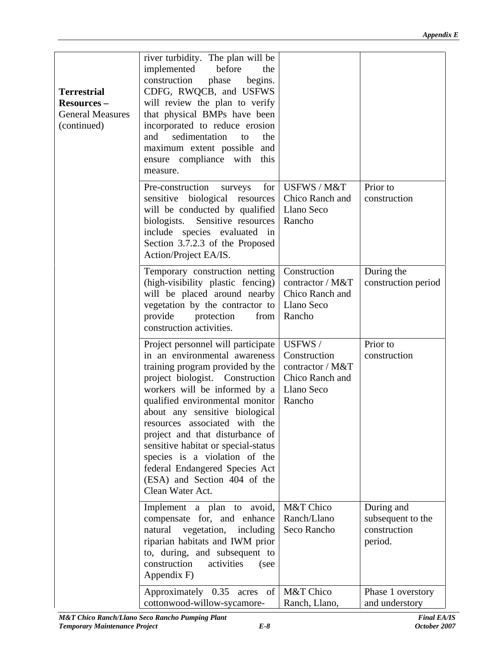| river turbidity. The plan will be<br>implemented before the<br>construction phase begins.<br>CDFG, RWQCB, and USFWS<br>will review the plan to verify<br>that physical BMPs have been<br>  incorporated to reduce erosion  <br>and sedimentation to the<br>maximum extent possible and<br>ensure compliance with this<br>measure.<br>Pre-construction surveys for USFWS/M&T Prior to<br>sensitive biological resources Chico Ranch and construction<br>will be conducted by qualified Llano Seco<br>biologists. Sensitive resources Rancho<br>include species evaluated in<br>Section 3.7.2.3 of the Proposed<br>Action/Project EA/IS.<br>Temporary construction netting Construction<br>During the<br>(high-visibility plastic fencing) $\vert$ contractor / M&T $\vert$ construction period $\vert$<br>will be placed around nearby Chico Ranch and<br>vegetation by the contractor to Llano Seco<br>provide protection from Rancho<br>construction activities.<br>Project personnel will participate   USFWS /<br>Prior to<br>in an environmental awareness Construction<br>construction<br>training program provided by the $\vert$ contractor / M&T<br>project biologist. Construction   Chico Ranch and<br>workers will be informed by a Llano Seco<br>qualified environmental monitor   Rancho<br>about any sensitive biological<br>resources associated with the<br>project and that disturbance of<br>sensitive habitat or special-status<br>species is a violation of the<br>federal Endangered Species Act<br>(ESA) and Section 404 of the<br>Clean Water Act.<br>Implement a plan to avoid, M&T Chico<br>During and<br>subsequent to the<br>compensate for, and enhance Ranch/Llano<br>natural vegetation, including Seco Rancho<br>construction<br>riparian habitats and IWM prior<br>period.<br>to, during, and subsequent to<br>construction activities (see<br>Appendix F)<br>Approximately $0.35$ acres of M&T Chico<br>Phase 1 overstory |                                             |                |
|------------------------------------------------------------------------------------------------------------------------------------------------------------------------------------------------------------------------------------------------------------------------------------------------------------------------------------------------------------------------------------------------------------------------------------------------------------------------------------------------------------------------------------------------------------------------------------------------------------------------------------------------------------------------------------------------------------------------------------------------------------------------------------------------------------------------------------------------------------------------------------------------------------------------------------------------------------------------------------------------------------------------------------------------------------------------------------------------------------------------------------------------------------------------------------------------------------------------------------------------------------------------------------------------------------------------------------------------------------------------------------------------------------------------------------------------------------------------------------------------------------------------------------------------------------------------------------------------------------------------------------------------------------------------------------------------------------------------------------------------------------------------------------------------------------------------------------------------------------------------------------------------------------------------------------------------------------|---------------------------------------------|----------------|
| <b>Terrestrial</b><br><b>Resources</b> –<br>General Measures<br>(continued)                                                                                                                                                                                                                                                                                                                                                                                                                                                                                                                                                                                                                                                                                                                                                                                                                                                                                                                                                                                                                                                                                                                                                                                                                                                                                                                                                                                                                                                                                                                                                                                                                                                                                                                                                                                                                                                                                |                                             |                |
|                                                                                                                                                                                                                                                                                                                                                                                                                                                                                                                                                                                                                                                                                                                                                                                                                                                                                                                                                                                                                                                                                                                                                                                                                                                                                                                                                                                                                                                                                                                                                                                                                                                                                                                                                                                                                                                                                                                                                            |                                             |                |
|                                                                                                                                                                                                                                                                                                                                                                                                                                                                                                                                                                                                                                                                                                                                                                                                                                                                                                                                                                                                                                                                                                                                                                                                                                                                                                                                                                                                                                                                                                                                                                                                                                                                                                                                                                                                                                                                                                                                                            |                                             |                |
|                                                                                                                                                                                                                                                                                                                                                                                                                                                                                                                                                                                                                                                                                                                                                                                                                                                                                                                                                                                                                                                                                                                                                                                                                                                                                                                                                                                                                                                                                                                                                                                                                                                                                                                                                                                                                                                                                                                                                            |                                             |                |
|                                                                                                                                                                                                                                                                                                                                                                                                                                                                                                                                                                                                                                                                                                                                                                                                                                                                                                                                                                                                                                                                                                                                                                                                                                                                                                                                                                                                                                                                                                                                                                                                                                                                                                                                                                                                                                                                                                                                                            |                                             |                |
|                                                                                                                                                                                                                                                                                                                                                                                                                                                                                                                                                                                                                                                                                                                                                                                                                                                                                                                                                                                                                                                                                                                                                                                                                                                                                                                                                                                                                                                                                                                                                                                                                                                                                                                                                                                                                                                                                                                                                            |                                             |                |
|                                                                                                                                                                                                                                                                                                                                                                                                                                                                                                                                                                                                                                                                                                                                                                                                                                                                                                                                                                                                                                                                                                                                                                                                                                                                                                                                                                                                                                                                                                                                                                                                                                                                                                                                                                                                                                                                                                                                                            |                                             |                |
|                                                                                                                                                                                                                                                                                                                                                                                                                                                                                                                                                                                                                                                                                                                                                                                                                                                                                                                                                                                                                                                                                                                                                                                                                                                                                                                                                                                                                                                                                                                                                                                                                                                                                                                                                                                                                                                                                                                                                            |                                             |                |
|                                                                                                                                                                                                                                                                                                                                                                                                                                                                                                                                                                                                                                                                                                                                                                                                                                                                                                                                                                                                                                                                                                                                                                                                                                                                                                                                                                                                                                                                                                                                                                                                                                                                                                                                                                                                                                                                                                                                                            |                                             |                |
|                                                                                                                                                                                                                                                                                                                                                                                                                                                                                                                                                                                                                                                                                                                                                                                                                                                                                                                                                                                                                                                                                                                                                                                                                                                                                                                                                                                                                                                                                                                                                                                                                                                                                                                                                                                                                                                                                                                                                            |                                             |                |
|                                                                                                                                                                                                                                                                                                                                                                                                                                                                                                                                                                                                                                                                                                                                                                                                                                                                                                                                                                                                                                                                                                                                                                                                                                                                                                                                                                                                                                                                                                                                                                                                                                                                                                                                                                                                                                                                                                                                                            |                                             |                |
|                                                                                                                                                                                                                                                                                                                                                                                                                                                                                                                                                                                                                                                                                                                                                                                                                                                                                                                                                                                                                                                                                                                                                                                                                                                                                                                                                                                                                                                                                                                                                                                                                                                                                                                                                                                                                                                                                                                                                            |                                             |                |
|                                                                                                                                                                                                                                                                                                                                                                                                                                                                                                                                                                                                                                                                                                                                                                                                                                                                                                                                                                                                                                                                                                                                                                                                                                                                                                                                                                                                                                                                                                                                                                                                                                                                                                                                                                                                                                                                                                                                                            |                                             |                |
|                                                                                                                                                                                                                                                                                                                                                                                                                                                                                                                                                                                                                                                                                                                                                                                                                                                                                                                                                                                                                                                                                                                                                                                                                                                                                                                                                                                                                                                                                                                                                                                                                                                                                                                                                                                                                                                                                                                                                            |                                             |                |
|                                                                                                                                                                                                                                                                                                                                                                                                                                                                                                                                                                                                                                                                                                                                                                                                                                                                                                                                                                                                                                                                                                                                                                                                                                                                                                                                                                                                                                                                                                                                                                                                                                                                                                                                                                                                                                                                                                                                                            |                                             |                |
|                                                                                                                                                                                                                                                                                                                                                                                                                                                                                                                                                                                                                                                                                                                                                                                                                                                                                                                                                                                                                                                                                                                                                                                                                                                                                                                                                                                                                                                                                                                                                                                                                                                                                                                                                                                                                                                                                                                                                            |                                             |                |
|                                                                                                                                                                                                                                                                                                                                                                                                                                                                                                                                                                                                                                                                                                                                                                                                                                                                                                                                                                                                                                                                                                                                                                                                                                                                                                                                                                                                                                                                                                                                                                                                                                                                                                                                                                                                                                                                                                                                                            |                                             |                |
|                                                                                                                                                                                                                                                                                                                                                                                                                                                                                                                                                                                                                                                                                                                                                                                                                                                                                                                                                                                                                                                                                                                                                                                                                                                                                                                                                                                                                                                                                                                                                                                                                                                                                                                                                                                                                                                                                                                                                            |                                             |                |
|                                                                                                                                                                                                                                                                                                                                                                                                                                                                                                                                                                                                                                                                                                                                                                                                                                                                                                                                                                                                                                                                                                                                                                                                                                                                                                                                                                                                                                                                                                                                                                                                                                                                                                                                                                                                                                                                                                                                                            |                                             |                |
|                                                                                                                                                                                                                                                                                                                                                                                                                                                                                                                                                                                                                                                                                                                                                                                                                                                                                                                                                                                                                                                                                                                                                                                                                                                                                                                                                                                                                                                                                                                                                                                                                                                                                                                                                                                                                                                                                                                                                            |                                             |                |
|                                                                                                                                                                                                                                                                                                                                                                                                                                                                                                                                                                                                                                                                                                                                                                                                                                                                                                                                                                                                                                                                                                                                                                                                                                                                                                                                                                                                                                                                                                                                                                                                                                                                                                                                                                                                                                                                                                                                                            |                                             |                |
|                                                                                                                                                                                                                                                                                                                                                                                                                                                                                                                                                                                                                                                                                                                                                                                                                                                                                                                                                                                                                                                                                                                                                                                                                                                                                                                                                                                                                                                                                                                                                                                                                                                                                                                                                                                                                                                                                                                                                            |                                             |                |
|                                                                                                                                                                                                                                                                                                                                                                                                                                                                                                                                                                                                                                                                                                                                                                                                                                                                                                                                                                                                                                                                                                                                                                                                                                                                                                                                                                                                                                                                                                                                                                                                                                                                                                                                                                                                                                                                                                                                                            |                                             |                |
|                                                                                                                                                                                                                                                                                                                                                                                                                                                                                                                                                                                                                                                                                                                                                                                                                                                                                                                                                                                                                                                                                                                                                                                                                                                                                                                                                                                                                                                                                                                                                                                                                                                                                                                                                                                                                                                                                                                                                            |                                             |                |
|                                                                                                                                                                                                                                                                                                                                                                                                                                                                                                                                                                                                                                                                                                                                                                                                                                                                                                                                                                                                                                                                                                                                                                                                                                                                                                                                                                                                                                                                                                                                                                                                                                                                                                                                                                                                                                                                                                                                                            |                                             |                |
|                                                                                                                                                                                                                                                                                                                                                                                                                                                                                                                                                                                                                                                                                                                                                                                                                                                                                                                                                                                                                                                                                                                                                                                                                                                                                                                                                                                                                                                                                                                                                                                                                                                                                                                                                                                                                                                                                                                                                            |                                             |                |
|                                                                                                                                                                                                                                                                                                                                                                                                                                                                                                                                                                                                                                                                                                                                                                                                                                                                                                                                                                                                                                                                                                                                                                                                                                                                                                                                                                                                                                                                                                                                                                                                                                                                                                                                                                                                                                                                                                                                                            |                                             |                |
|                                                                                                                                                                                                                                                                                                                                                                                                                                                                                                                                                                                                                                                                                                                                                                                                                                                                                                                                                                                                                                                                                                                                                                                                                                                                                                                                                                                                                                                                                                                                                                                                                                                                                                                                                                                                                                                                                                                                                            |                                             |                |
|                                                                                                                                                                                                                                                                                                                                                                                                                                                                                                                                                                                                                                                                                                                                                                                                                                                                                                                                                                                                                                                                                                                                                                                                                                                                                                                                                                                                                                                                                                                                                                                                                                                                                                                                                                                                                                                                                                                                                            |                                             |                |
|                                                                                                                                                                                                                                                                                                                                                                                                                                                                                                                                                                                                                                                                                                                                                                                                                                                                                                                                                                                                                                                                                                                                                                                                                                                                                                                                                                                                                                                                                                                                                                                                                                                                                                                                                                                                                                                                                                                                                            |                                             |                |
|                                                                                                                                                                                                                                                                                                                                                                                                                                                                                                                                                                                                                                                                                                                                                                                                                                                                                                                                                                                                                                                                                                                                                                                                                                                                                                                                                                                                                                                                                                                                                                                                                                                                                                                                                                                                                                                                                                                                                            |                                             |                |
|                                                                                                                                                                                                                                                                                                                                                                                                                                                                                                                                                                                                                                                                                                                                                                                                                                                                                                                                                                                                                                                                                                                                                                                                                                                                                                                                                                                                                                                                                                                                                                                                                                                                                                                                                                                                                                                                                                                                                            |                                             |                |
|                                                                                                                                                                                                                                                                                                                                                                                                                                                                                                                                                                                                                                                                                                                                                                                                                                                                                                                                                                                                                                                                                                                                                                                                                                                                                                                                                                                                                                                                                                                                                                                                                                                                                                                                                                                                                                                                                                                                                            |                                             |                |
|                                                                                                                                                                                                                                                                                                                                                                                                                                                                                                                                                                                                                                                                                                                                                                                                                                                                                                                                                                                                                                                                                                                                                                                                                                                                                                                                                                                                                                                                                                                                                                                                                                                                                                                                                                                                                                                                                                                                                            |                                             |                |
|                                                                                                                                                                                                                                                                                                                                                                                                                                                                                                                                                                                                                                                                                                                                                                                                                                                                                                                                                                                                                                                                                                                                                                                                                                                                                                                                                                                                                                                                                                                                                                                                                                                                                                                                                                                                                                                                                                                                                            |                                             |                |
|                                                                                                                                                                                                                                                                                                                                                                                                                                                                                                                                                                                                                                                                                                                                                                                                                                                                                                                                                                                                                                                                                                                                                                                                                                                                                                                                                                                                                                                                                                                                                                                                                                                                                                                                                                                                                                                                                                                                                            |                                             |                |
|                                                                                                                                                                                                                                                                                                                                                                                                                                                                                                                                                                                                                                                                                                                                                                                                                                                                                                                                                                                                                                                                                                                                                                                                                                                                                                                                                                                                                                                                                                                                                                                                                                                                                                                                                                                                                                                                                                                                                            |                                             |                |
|                                                                                                                                                                                                                                                                                                                                                                                                                                                                                                                                                                                                                                                                                                                                                                                                                                                                                                                                                                                                                                                                                                                                                                                                                                                                                                                                                                                                                                                                                                                                                                                                                                                                                                                                                                                                                                                                                                                                                            |                                             |                |
|                                                                                                                                                                                                                                                                                                                                                                                                                                                                                                                                                                                                                                                                                                                                                                                                                                                                                                                                                                                                                                                                                                                                                                                                                                                                                                                                                                                                                                                                                                                                                                                                                                                                                                                                                                                                                                                                                                                                                            |                                             |                |
|                                                                                                                                                                                                                                                                                                                                                                                                                                                                                                                                                                                                                                                                                                                                                                                                                                                                                                                                                                                                                                                                                                                                                                                                                                                                                                                                                                                                                                                                                                                                                                                                                                                                                                                                                                                                                                                                                                                                                            |                                             |                |
|                                                                                                                                                                                                                                                                                                                                                                                                                                                                                                                                                                                                                                                                                                                                                                                                                                                                                                                                                                                                                                                                                                                                                                                                                                                                                                                                                                                                                                                                                                                                                                                                                                                                                                                                                                                                                                                                                                                                                            |                                             |                |
|                                                                                                                                                                                                                                                                                                                                                                                                                                                                                                                                                                                                                                                                                                                                                                                                                                                                                                                                                                                                                                                                                                                                                                                                                                                                                                                                                                                                                                                                                                                                                                                                                                                                                                                                                                                                                                                                                                                                                            |                                             |                |
|                                                                                                                                                                                                                                                                                                                                                                                                                                                                                                                                                                                                                                                                                                                                                                                                                                                                                                                                                                                                                                                                                                                                                                                                                                                                                                                                                                                                                                                                                                                                                                                                                                                                                                                                                                                                                                                                                                                                                            |                                             |                |
|                                                                                                                                                                                                                                                                                                                                                                                                                                                                                                                                                                                                                                                                                                                                                                                                                                                                                                                                                                                                                                                                                                                                                                                                                                                                                                                                                                                                                                                                                                                                                                                                                                                                                                                                                                                                                                                                                                                                                            |                                             |                |
|                                                                                                                                                                                                                                                                                                                                                                                                                                                                                                                                                                                                                                                                                                                                                                                                                                                                                                                                                                                                                                                                                                                                                                                                                                                                                                                                                                                                                                                                                                                                                                                                                                                                                                                                                                                                                                                                                                                                                            | cottonwood-willow-sycamore-   Ranch, Llano, | and understory |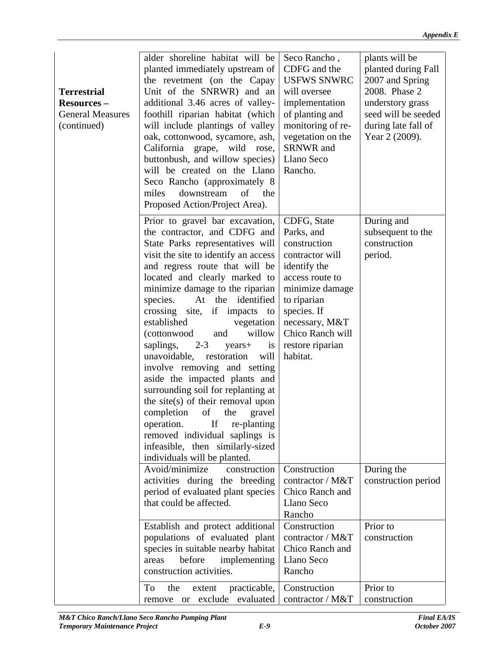|                         | alder shoreline habitat will be Seco Rancho,                               |                               | plants will be      |
|-------------------------|----------------------------------------------------------------------------|-------------------------------|---------------------|
|                         | planted immediately upstream of CDFG and the                               |                               | planted during Fall |
|                         | the revetment (on the Capay USFWS SNWRC                                    |                               | 2007 and Spring     |
| <b>Terrestrial</b>      | Unit of the SNRWR) and an will oversee                                     |                               | 2008. Phase 2       |
| <b>Resources –</b>      | additional 3.46 acres of valley- implementation                            |                               | understory grass    |
| <b>General Measures</b> | foothill riparian habitat (which of planting and                           |                               | seed will be seeded |
| (continued)             | will include plantings of valley   monitoring of re-   during late fall of |                               |                     |
|                         | oak, cottonwood, sycamore, ash,   vegetation on the   Year $2(2009)$ .     |                               |                     |
|                         | California grape, wild rose, SRNWR and                                     |                               |                     |
|                         | buttonbush, and willow species)   Llano Seco                               |                               |                     |
|                         | will be created on the Llano Rancho.                                       |                               |                     |
|                         | Seco Rancho (approximately 8)                                              |                               |                     |
|                         | miles downstream of the                                                    |                               |                     |
|                         |                                                                            |                               |                     |
|                         | Proposed Action/Project Area).                                             |                               |                     |
|                         | Prior to gravel bar excavation, CDFG, State                                |                               | During and          |
|                         | the contractor, and CDFG and Parks, and                                    |                               | subsequent to the   |
|                         | State Parks representatives will construction                              |                               | construction        |
|                         | visit the site to identify an access   contractor will                     |                               | period.             |
|                         | and regress route that will be didentify the                               |                               |                     |
|                         | located and clearly marked to $\vert$ access route to                      |                               |                     |
|                         | minimize damage to the riparian $\vert$ minimize damage                    |                               |                     |
|                         | species. At the identified to riparian                                     |                               |                     |
|                         | crossing site, if impacts to species. If                                   |                               |                     |
|                         | established                                                                | vegetation   necessary, $M&T$ |                     |
|                         | and<br><i>(cottonwood)</i>                                                 | willow   Chico Ranch will     |                     |
|                         | saplings, $2-3$ years + is restore riparian                                |                               |                     |
|                         | unavoidable, restoration will habitat.                                     |                               |                     |
|                         | involve removing and setting                                               |                               |                     |
|                         | aside the impacted plants and                                              |                               |                     |
|                         | surrounding soil for replanting at                                         |                               |                     |
|                         | the site $(s)$ of their removal upon                                       |                               |                     |
|                         |                                                                            |                               |                     |
|                         | completion of the gravel<br>operation. If re-planting                      |                               |                     |
|                         |                                                                            |                               |                     |
|                         | removed individual saplings is                                             |                               |                     |
|                         | infeasible, then similarly-sized                                           |                               |                     |
|                         | individuals will be planted.                                               |                               |                     |
|                         | Avoid/minimize construction Construction                                   |                               | During the          |
|                         | activities during the breeding contractor / $M&T$ construction period      |                               |                     |
|                         | period of evaluated plant species   Chico Ranch and                        |                               |                     |
|                         | that could be affected.                                                    | Llano Seco                    |                     |
|                         |                                                                            | Rancho                        |                     |
|                         | Establish and protect additional Construction                              |                               | Prior to            |
|                         | populations of evaluated plant contractor / $M&T$ construction             |                               |                     |
|                         | species in suitable nearby habitat   Chico Ranch and                       |                               |                     |
|                         | areas before implementing Llano Seco                                       |                               |                     |
|                         | construction activities.                                                   | Rancho                        |                     |
|                         | To the extent practicable, Construction                                    |                               | Prior to            |
|                         | remove or exclude evaluated contractor / $M&T$ construction                |                               |                     |
|                         |                                                                            |                               |                     |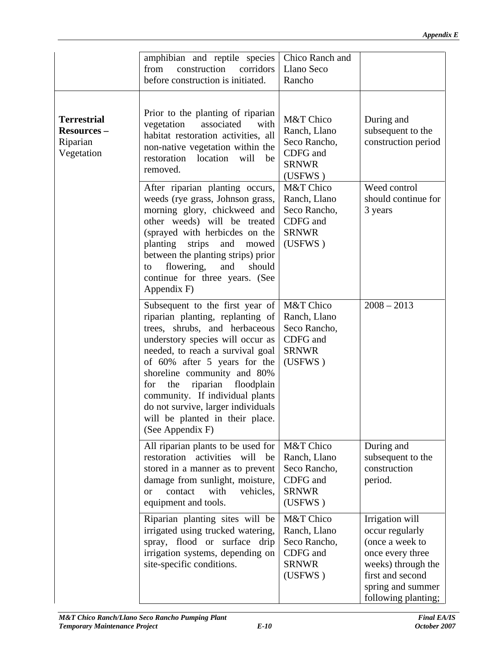| amphibian and reptile species Chico Ranch and<br>from construction corridors Llano Seco<br>Rancho<br>before construction is initiated.<br>Prior to the planting of riparian<br>vegetation associated with $M&T$ Chico<br>regetation associated with $R_{\text{Bench}}$ Leng<br>During and<br>vegetation associated with<br>habitat restoration activities, all Ranch, Llano<br>non-native vegetation within the<br>restoration location will be CDFG and<br>restoration location will be CDFG and<br>subsequent to the<br>construction period<br><b>SRNWR</b><br>removed.<br>(USFWS)<br>After riparian planting occurs, M&T Chico<br>Weed control<br>weeds (rye grass, Johnson grass,   Ranch, Llano<br>should continue for<br>morning glory, chickweed and Seco Rancho,<br>3 years<br>other weeds) will be treated CDFG and<br>(sprayed with herbicdes on the SRNWR)<br>planting strips and mowed (USFWS)<br>between the planting strips) prior<br>to flowering, and should<br>continue for three years. (See<br>Appendix F)<br>Subsequent to the first year of $M&T$ Chico<br>$2008 - 2013$<br>riparian planting, replanting of $\vert$ Ranch, Llano<br>trees, shrubs, and herbaceous Seco Rancho,<br>understory species will occur as $\vert$ CDFG and<br>needed, to reach a survival goal SRNWR<br>of $60\%$ after 5 years for the (USFWS)<br>shoreline community and 80%<br>for the riparian floodplain<br>community. If individual plants<br>do not survive, larger individuals<br>will be planted in their place.<br>(See Appendix F)<br>All riparian plants to be used for $\vert$ M&T Chico<br>During and<br>restoration activities will be Ranch, Llano<br>subsequent to the<br>stored in a manner as to prevent   Seco Rancho,<br>construction<br>period.<br>damage from sunlight, moisture, CDFG and<br>or contact with vehicles, SRNWR<br>equipment and tools.<br>(USFWS)<br>Riparian planting sites will be $\sqrt{\text{M&T} \text{Chico}}$<br>Irrigation will<br>irrigated using trucked watering,   Ranch, Llano<br>occur regularly<br>spray, flood or surface drip Seco Rancho,<br>(once a week to<br>irrigation systems, depending on   CDFG and<br>once every three<br><b>SRNWR</b><br>site-specific conditions.<br>weeks) through the<br>(USFWS)<br>first and second<br>spring and summer |  |                     |
|----------------------------------------------------------------------------------------------------------------------------------------------------------------------------------------------------------------------------------------------------------------------------------------------------------------------------------------------------------------------------------------------------------------------------------------------------------------------------------------------------------------------------------------------------------------------------------------------------------------------------------------------------------------------------------------------------------------------------------------------------------------------------------------------------------------------------------------------------------------------------------------------------------------------------------------------------------------------------------------------------------------------------------------------------------------------------------------------------------------------------------------------------------------------------------------------------------------------------------------------------------------------------------------------------------------------------------------------------------------------------------------------------------------------------------------------------------------------------------------------------------------------------------------------------------------------------------------------------------------------------------------------------------------------------------------------------------------------------------------------------------------------------------------------------------------------------------------------------------------------------------------------------------------------------------------------------------------------------------------------------------------------------------------------------------------------------------------------------------------------------------------------------------------------------------------------------------------------------------------------------------------------------------------------------------------|--|---------------------|
| Terrestrial<br>  Resources –<br>Riparian<br>Vegetation                                                                                                                                                                                                                                                                                                                                                                                                                                                                                                                                                                                                                                                                                                                                                                                                                                                                                                                                                                                                                                                                                                                                                                                                                                                                                                                                                                                                                                                                                                                                                                                                                                                                                                                                                                                                                                                                                                                                                                                                                                                                                                                                                                                                                                                         |  |                     |
|                                                                                                                                                                                                                                                                                                                                                                                                                                                                                                                                                                                                                                                                                                                                                                                                                                                                                                                                                                                                                                                                                                                                                                                                                                                                                                                                                                                                                                                                                                                                                                                                                                                                                                                                                                                                                                                                                                                                                                                                                                                                                                                                                                                                                                                                                                                |  |                     |
|                                                                                                                                                                                                                                                                                                                                                                                                                                                                                                                                                                                                                                                                                                                                                                                                                                                                                                                                                                                                                                                                                                                                                                                                                                                                                                                                                                                                                                                                                                                                                                                                                                                                                                                                                                                                                                                                                                                                                                                                                                                                                                                                                                                                                                                                                                                |  |                     |
|                                                                                                                                                                                                                                                                                                                                                                                                                                                                                                                                                                                                                                                                                                                                                                                                                                                                                                                                                                                                                                                                                                                                                                                                                                                                                                                                                                                                                                                                                                                                                                                                                                                                                                                                                                                                                                                                                                                                                                                                                                                                                                                                                                                                                                                                                                                |  |                     |
|                                                                                                                                                                                                                                                                                                                                                                                                                                                                                                                                                                                                                                                                                                                                                                                                                                                                                                                                                                                                                                                                                                                                                                                                                                                                                                                                                                                                                                                                                                                                                                                                                                                                                                                                                                                                                                                                                                                                                                                                                                                                                                                                                                                                                                                                                                                |  |                     |
|                                                                                                                                                                                                                                                                                                                                                                                                                                                                                                                                                                                                                                                                                                                                                                                                                                                                                                                                                                                                                                                                                                                                                                                                                                                                                                                                                                                                                                                                                                                                                                                                                                                                                                                                                                                                                                                                                                                                                                                                                                                                                                                                                                                                                                                                                                                |  |                     |
|                                                                                                                                                                                                                                                                                                                                                                                                                                                                                                                                                                                                                                                                                                                                                                                                                                                                                                                                                                                                                                                                                                                                                                                                                                                                                                                                                                                                                                                                                                                                                                                                                                                                                                                                                                                                                                                                                                                                                                                                                                                                                                                                                                                                                                                                                                                |  |                     |
|                                                                                                                                                                                                                                                                                                                                                                                                                                                                                                                                                                                                                                                                                                                                                                                                                                                                                                                                                                                                                                                                                                                                                                                                                                                                                                                                                                                                                                                                                                                                                                                                                                                                                                                                                                                                                                                                                                                                                                                                                                                                                                                                                                                                                                                                                                                |  |                     |
|                                                                                                                                                                                                                                                                                                                                                                                                                                                                                                                                                                                                                                                                                                                                                                                                                                                                                                                                                                                                                                                                                                                                                                                                                                                                                                                                                                                                                                                                                                                                                                                                                                                                                                                                                                                                                                                                                                                                                                                                                                                                                                                                                                                                                                                                                                                |  |                     |
|                                                                                                                                                                                                                                                                                                                                                                                                                                                                                                                                                                                                                                                                                                                                                                                                                                                                                                                                                                                                                                                                                                                                                                                                                                                                                                                                                                                                                                                                                                                                                                                                                                                                                                                                                                                                                                                                                                                                                                                                                                                                                                                                                                                                                                                                                                                |  |                     |
|                                                                                                                                                                                                                                                                                                                                                                                                                                                                                                                                                                                                                                                                                                                                                                                                                                                                                                                                                                                                                                                                                                                                                                                                                                                                                                                                                                                                                                                                                                                                                                                                                                                                                                                                                                                                                                                                                                                                                                                                                                                                                                                                                                                                                                                                                                                |  |                     |
|                                                                                                                                                                                                                                                                                                                                                                                                                                                                                                                                                                                                                                                                                                                                                                                                                                                                                                                                                                                                                                                                                                                                                                                                                                                                                                                                                                                                                                                                                                                                                                                                                                                                                                                                                                                                                                                                                                                                                                                                                                                                                                                                                                                                                                                                                                                |  |                     |
|                                                                                                                                                                                                                                                                                                                                                                                                                                                                                                                                                                                                                                                                                                                                                                                                                                                                                                                                                                                                                                                                                                                                                                                                                                                                                                                                                                                                                                                                                                                                                                                                                                                                                                                                                                                                                                                                                                                                                                                                                                                                                                                                                                                                                                                                                                                |  |                     |
|                                                                                                                                                                                                                                                                                                                                                                                                                                                                                                                                                                                                                                                                                                                                                                                                                                                                                                                                                                                                                                                                                                                                                                                                                                                                                                                                                                                                                                                                                                                                                                                                                                                                                                                                                                                                                                                                                                                                                                                                                                                                                                                                                                                                                                                                                                                |  |                     |
|                                                                                                                                                                                                                                                                                                                                                                                                                                                                                                                                                                                                                                                                                                                                                                                                                                                                                                                                                                                                                                                                                                                                                                                                                                                                                                                                                                                                                                                                                                                                                                                                                                                                                                                                                                                                                                                                                                                                                                                                                                                                                                                                                                                                                                                                                                                |  |                     |
|                                                                                                                                                                                                                                                                                                                                                                                                                                                                                                                                                                                                                                                                                                                                                                                                                                                                                                                                                                                                                                                                                                                                                                                                                                                                                                                                                                                                                                                                                                                                                                                                                                                                                                                                                                                                                                                                                                                                                                                                                                                                                                                                                                                                                                                                                                                |  |                     |
|                                                                                                                                                                                                                                                                                                                                                                                                                                                                                                                                                                                                                                                                                                                                                                                                                                                                                                                                                                                                                                                                                                                                                                                                                                                                                                                                                                                                                                                                                                                                                                                                                                                                                                                                                                                                                                                                                                                                                                                                                                                                                                                                                                                                                                                                                                                |  |                     |
|                                                                                                                                                                                                                                                                                                                                                                                                                                                                                                                                                                                                                                                                                                                                                                                                                                                                                                                                                                                                                                                                                                                                                                                                                                                                                                                                                                                                                                                                                                                                                                                                                                                                                                                                                                                                                                                                                                                                                                                                                                                                                                                                                                                                                                                                                                                |  |                     |
|                                                                                                                                                                                                                                                                                                                                                                                                                                                                                                                                                                                                                                                                                                                                                                                                                                                                                                                                                                                                                                                                                                                                                                                                                                                                                                                                                                                                                                                                                                                                                                                                                                                                                                                                                                                                                                                                                                                                                                                                                                                                                                                                                                                                                                                                                                                |  |                     |
|                                                                                                                                                                                                                                                                                                                                                                                                                                                                                                                                                                                                                                                                                                                                                                                                                                                                                                                                                                                                                                                                                                                                                                                                                                                                                                                                                                                                                                                                                                                                                                                                                                                                                                                                                                                                                                                                                                                                                                                                                                                                                                                                                                                                                                                                                                                |  |                     |
|                                                                                                                                                                                                                                                                                                                                                                                                                                                                                                                                                                                                                                                                                                                                                                                                                                                                                                                                                                                                                                                                                                                                                                                                                                                                                                                                                                                                                                                                                                                                                                                                                                                                                                                                                                                                                                                                                                                                                                                                                                                                                                                                                                                                                                                                                                                |  |                     |
|                                                                                                                                                                                                                                                                                                                                                                                                                                                                                                                                                                                                                                                                                                                                                                                                                                                                                                                                                                                                                                                                                                                                                                                                                                                                                                                                                                                                                                                                                                                                                                                                                                                                                                                                                                                                                                                                                                                                                                                                                                                                                                                                                                                                                                                                                                                |  |                     |
|                                                                                                                                                                                                                                                                                                                                                                                                                                                                                                                                                                                                                                                                                                                                                                                                                                                                                                                                                                                                                                                                                                                                                                                                                                                                                                                                                                                                                                                                                                                                                                                                                                                                                                                                                                                                                                                                                                                                                                                                                                                                                                                                                                                                                                                                                                                |  |                     |
|                                                                                                                                                                                                                                                                                                                                                                                                                                                                                                                                                                                                                                                                                                                                                                                                                                                                                                                                                                                                                                                                                                                                                                                                                                                                                                                                                                                                                                                                                                                                                                                                                                                                                                                                                                                                                                                                                                                                                                                                                                                                                                                                                                                                                                                                                                                |  |                     |
|                                                                                                                                                                                                                                                                                                                                                                                                                                                                                                                                                                                                                                                                                                                                                                                                                                                                                                                                                                                                                                                                                                                                                                                                                                                                                                                                                                                                                                                                                                                                                                                                                                                                                                                                                                                                                                                                                                                                                                                                                                                                                                                                                                                                                                                                                                                |  |                     |
|                                                                                                                                                                                                                                                                                                                                                                                                                                                                                                                                                                                                                                                                                                                                                                                                                                                                                                                                                                                                                                                                                                                                                                                                                                                                                                                                                                                                                                                                                                                                                                                                                                                                                                                                                                                                                                                                                                                                                                                                                                                                                                                                                                                                                                                                                                                |  |                     |
|                                                                                                                                                                                                                                                                                                                                                                                                                                                                                                                                                                                                                                                                                                                                                                                                                                                                                                                                                                                                                                                                                                                                                                                                                                                                                                                                                                                                                                                                                                                                                                                                                                                                                                                                                                                                                                                                                                                                                                                                                                                                                                                                                                                                                                                                                                                |  |                     |
|                                                                                                                                                                                                                                                                                                                                                                                                                                                                                                                                                                                                                                                                                                                                                                                                                                                                                                                                                                                                                                                                                                                                                                                                                                                                                                                                                                                                                                                                                                                                                                                                                                                                                                                                                                                                                                                                                                                                                                                                                                                                                                                                                                                                                                                                                                                |  |                     |
|                                                                                                                                                                                                                                                                                                                                                                                                                                                                                                                                                                                                                                                                                                                                                                                                                                                                                                                                                                                                                                                                                                                                                                                                                                                                                                                                                                                                                                                                                                                                                                                                                                                                                                                                                                                                                                                                                                                                                                                                                                                                                                                                                                                                                                                                                                                |  |                     |
|                                                                                                                                                                                                                                                                                                                                                                                                                                                                                                                                                                                                                                                                                                                                                                                                                                                                                                                                                                                                                                                                                                                                                                                                                                                                                                                                                                                                                                                                                                                                                                                                                                                                                                                                                                                                                                                                                                                                                                                                                                                                                                                                                                                                                                                                                                                |  |                     |
|                                                                                                                                                                                                                                                                                                                                                                                                                                                                                                                                                                                                                                                                                                                                                                                                                                                                                                                                                                                                                                                                                                                                                                                                                                                                                                                                                                                                                                                                                                                                                                                                                                                                                                                                                                                                                                                                                                                                                                                                                                                                                                                                                                                                                                                                                                                |  |                     |
|                                                                                                                                                                                                                                                                                                                                                                                                                                                                                                                                                                                                                                                                                                                                                                                                                                                                                                                                                                                                                                                                                                                                                                                                                                                                                                                                                                                                                                                                                                                                                                                                                                                                                                                                                                                                                                                                                                                                                                                                                                                                                                                                                                                                                                                                                                                |  |                     |
|                                                                                                                                                                                                                                                                                                                                                                                                                                                                                                                                                                                                                                                                                                                                                                                                                                                                                                                                                                                                                                                                                                                                                                                                                                                                                                                                                                                                                                                                                                                                                                                                                                                                                                                                                                                                                                                                                                                                                                                                                                                                                                                                                                                                                                                                                                                |  |                     |
|                                                                                                                                                                                                                                                                                                                                                                                                                                                                                                                                                                                                                                                                                                                                                                                                                                                                                                                                                                                                                                                                                                                                                                                                                                                                                                                                                                                                                                                                                                                                                                                                                                                                                                                                                                                                                                                                                                                                                                                                                                                                                                                                                                                                                                                                                                                |  |                     |
|                                                                                                                                                                                                                                                                                                                                                                                                                                                                                                                                                                                                                                                                                                                                                                                                                                                                                                                                                                                                                                                                                                                                                                                                                                                                                                                                                                                                                                                                                                                                                                                                                                                                                                                                                                                                                                                                                                                                                                                                                                                                                                                                                                                                                                                                                                                |  |                     |
|                                                                                                                                                                                                                                                                                                                                                                                                                                                                                                                                                                                                                                                                                                                                                                                                                                                                                                                                                                                                                                                                                                                                                                                                                                                                                                                                                                                                                                                                                                                                                                                                                                                                                                                                                                                                                                                                                                                                                                                                                                                                                                                                                                                                                                                                                                                |  |                     |
|                                                                                                                                                                                                                                                                                                                                                                                                                                                                                                                                                                                                                                                                                                                                                                                                                                                                                                                                                                                                                                                                                                                                                                                                                                                                                                                                                                                                                                                                                                                                                                                                                                                                                                                                                                                                                                                                                                                                                                                                                                                                                                                                                                                                                                                                                                                |  |                     |
|                                                                                                                                                                                                                                                                                                                                                                                                                                                                                                                                                                                                                                                                                                                                                                                                                                                                                                                                                                                                                                                                                                                                                                                                                                                                                                                                                                                                                                                                                                                                                                                                                                                                                                                                                                                                                                                                                                                                                                                                                                                                                                                                                                                                                                                                                                                |  |                     |
|                                                                                                                                                                                                                                                                                                                                                                                                                                                                                                                                                                                                                                                                                                                                                                                                                                                                                                                                                                                                                                                                                                                                                                                                                                                                                                                                                                                                                                                                                                                                                                                                                                                                                                                                                                                                                                                                                                                                                                                                                                                                                                                                                                                                                                                                                                                |  |                     |
|                                                                                                                                                                                                                                                                                                                                                                                                                                                                                                                                                                                                                                                                                                                                                                                                                                                                                                                                                                                                                                                                                                                                                                                                                                                                                                                                                                                                                                                                                                                                                                                                                                                                                                                                                                                                                                                                                                                                                                                                                                                                                                                                                                                                                                                                                                                |  |                     |
|                                                                                                                                                                                                                                                                                                                                                                                                                                                                                                                                                                                                                                                                                                                                                                                                                                                                                                                                                                                                                                                                                                                                                                                                                                                                                                                                                                                                                                                                                                                                                                                                                                                                                                                                                                                                                                                                                                                                                                                                                                                                                                                                                                                                                                                                                                                |  |                     |
|                                                                                                                                                                                                                                                                                                                                                                                                                                                                                                                                                                                                                                                                                                                                                                                                                                                                                                                                                                                                                                                                                                                                                                                                                                                                                                                                                                                                                                                                                                                                                                                                                                                                                                                                                                                                                                                                                                                                                                                                                                                                                                                                                                                                                                                                                                                |  |                     |
|                                                                                                                                                                                                                                                                                                                                                                                                                                                                                                                                                                                                                                                                                                                                                                                                                                                                                                                                                                                                                                                                                                                                                                                                                                                                                                                                                                                                                                                                                                                                                                                                                                                                                                                                                                                                                                                                                                                                                                                                                                                                                                                                                                                                                                                                                                                |  |                     |
|                                                                                                                                                                                                                                                                                                                                                                                                                                                                                                                                                                                                                                                                                                                                                                                                                                                                                                                                                                                                                                                                                                                                                                                                                                                                                                                                                                                                                                                                                                                                                                                                                                                                                                                                                                                                                                                                                                                                                                                                                                                                                                                                                                                                                                                                                                                |  | following planting; |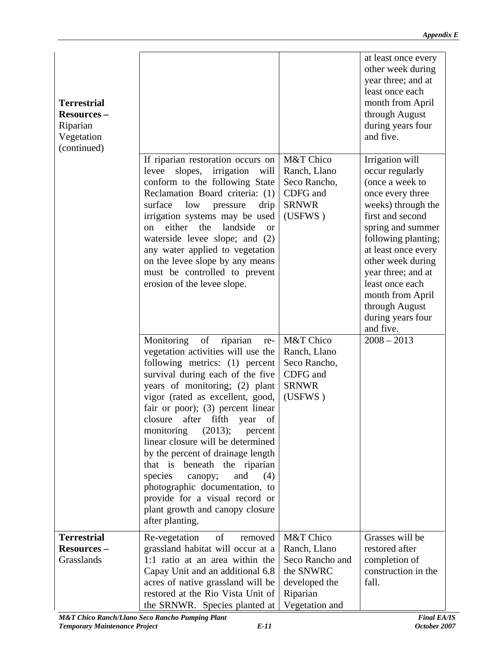|                    |                                                         | at least once every |
|--------------------|---------------------------------------------------------|---------------------|
|                    |                                                         | other week during   |
|                    |                                                         | year three; and at  |
|                    |                                                         | least once each     |
| <b>Terrestrial</b> |                                                         | month from April    |
| <b>Resources –</b> |                                                         | through August      |
|                    |                                                         |                     |
| Riparian           |                                                         | during years four   |
| Vegetation         |                                                         | and five.           |
| (continued)        |                                                         |                     |
|                    | If riparian restoration occurs on $M&T$ Chico           | Irrigation will     |
|                    | levee slopes, irrigation will Ranch, Llano              | occur regularly     |
|                    | conform to the following State   Seco Rancho,           | (once a week to     |
|                    | Reclamation Board criteria: $(1)$ CDFG and              | once every three    |
|                    | surface low pressure drip SRNWR                         | weeks) through the  |
|                    | irrigation systems may be used $\vert$ (USFWS)          | first and second    |
|                    | on either the landside or                               | spring and summer   |
|                    | waterside levee slope; and (2)                          | following planting; |
|                    | any water applied to vegetation                         | at least once every |
|                    | on the levee slope by any means                         | other week during   |
|                    | must be controlled to prevent                           | year three; and at  |
|                    | erosion of the levee slope.                             | least once each     |
|                    |                                                         |                     |
|                    |                                                         | month from April    |
|                    |                                                         | through August      |
|                    |                                                         | during years four   |
|                    |                                                         | and five.           |
|                    | Monitoring of riparian re- M&T Chico                    | $2008 - 2013$       |
|                    | vegetation activities will use the   Ranch, Llano       |                     |
|                    | following metrics: $(1)$ percent Seco Rancho,           |                     |
|                    | survival during each of the five $\vert$ CDFG and       |                     |
|                    | years of monitoring; (2) plant SRNWR                    |                     |
|                    | vigor (rated as excellent, good, $\vert$ (USFWS)        |                     |
|                    | fair or poor); (3) percent linear $\vert$               |                     |
|                    | closure after fifth year of                             |                     |
|                    | monitoring (2013); percent                              |                     |
|                    | linear closure will be determined                       |                     |
|                    |                                                         |                     |
|                    | by the percent of drainage length                       |                     |
|                    | that is beneath the riparian                            |                     |
|                    | species canopy; and $(4)$                               |                     |
|                    | photographic documentation, to                          |                     |
|                    | provide for a visual record or                          |                     |
|                    | plant growth and canopy closure                         |                     |
|                    | after planting.                                         |                     |
| <b>Terrestrial</b> | Re-vegetation of removed $M&T$ Chico                    | Grasses will be     |
|                    |                                                         |                     |
| <b>Resources –</b> | grassland habitat will occur at a $\vert$ Ranch, Llano  | restored after      |
| Grasslands         | 1:1 ratio at an area within the Seco Rancho and         | completion of       |
|                    | Capay Unit and an additional $6.8 \mid$ the SNWRC       | construction in the |
|                    | acres of native grassland will be $\vert$ developed the | fall.               |
|                    | restored at the Rio Vista Unit of Riparian              |                     |
|                    | the SRNWR. Species planted at Vegetation and            |                     |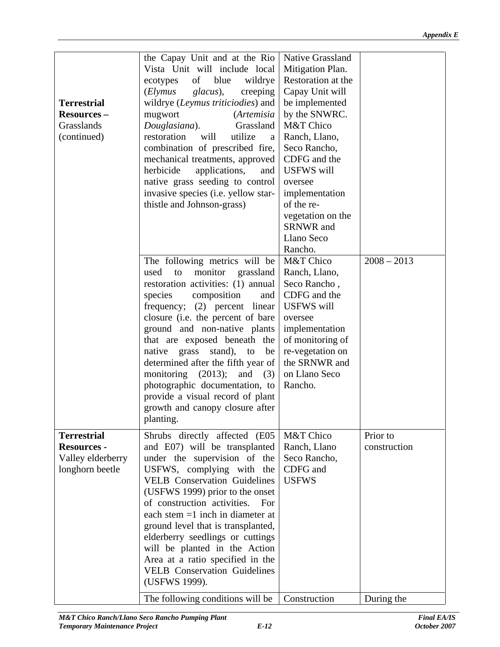| <b>Terrestrial</b><br><b>Resources –</b><br>Grasslands<br>(continued)            | the Capay Unit and at the Rio   Native Grassland<br>Vista Unit will include local   Mitigation Plan.<br>ecotypes of blue wildrye Restoration at the<br>  (Elymus glacus), creeping   Capay Unit will<br>wildrye ( <i>Leymus triticiodies</i> ) and $\vert$ be implemented<br>$(Artemisia \mid by the SNWRC.$<br>mugwort<br>Douglasiana). Grassland   M&T Chico<br>restoration will utilize a Ranch, Llano,<br>combination of prescribed fire, Seco Rancho,<br>mechanical treatments, approved CDFG and the<br>herbicide applications, and USFWS will<br>native grass seeding to control oversee<br>invasive species (i.e. yellow star-   implementation<br>thistle and Johnson-grass)<br>of the re-<br>vegetation on the<br>SRNWR and<br>Llano Seco<br>Rancho. |                          |
|----------------------------------------------------------------------------------|----------------------------------------------------------------------------------------------------------------------------------------------------------------------------------------------------------------------------------------------------------------------------------------------------------------------------------------------------------------------------------------------------------------------------------------------------------------------------------------------------------------------------------------------------------------------------------------------------------------------------------------------------------------------------------------------------------------------------------------------------------------|--------------------------|
|                                                                                  |                                                                                                                                                                                                                                                                                                                                                                                                                                                                                                                                                                                                                                                                                                                                                                |                          |
|                                                                                  | The following metrics will be $M&T$ Chico<br>used to monitor grassland Ranch, Llano,<br>restoration activities: (1) annual Seco Rancho,<br>species composition and CDFG and the<br>frequency; (2) percent linear USFWS will<br>closure (i.e. the percent of bare $\vert$ oversee<br>ground and non-native plants implementation<br>that are exposed beneath the of monitoring of<br>native grass stand), to be $\vert$ re-vegetation on<br>determined after the fifth year of $\vert$ the SRNWR and<br>monitoring (2013); and (3) on Llano Seco<br>photographic documentation, to Rancho.<br>provide a visual record of plant<br>growth and canopy closure after<br>planting.                                                                                  | $2008 - 2013$            |
| <b>Terrestrial</b><br><b>Resources -</b><br>Valley elderberry<br>longhorn beetle | Shrubs directly affected (E05   M&T Chico<br>and E07) will be transplanted   Ranch, Llano<br>under the supervision of the Seco Rancho,<br>USFWS, complying with the $\overline{CDFG}$ and<br>VELB Conservation Guidelines   USFWS<br>(USFWS 1999) prior to the onset<br>of construction activities. For<br>each stem $=1$ inch in diameter at<br>ground level that is transplanted,<br>elderberry seedlings or cuttings<br>will be planted in the Action<br>Area at a ratio specified in the<br><b>VELB</b> Conservation Guidelines<br>(USFWS 1999).                                                                                                                                                                                                           | Prior to<br>construction |
|                                                                                  | The following conditions will be $\int$ Construction                                                                                                                                                                                                                                                                                                                                                                                                                                                                                                                                                                                                                                                                                                           | During the               |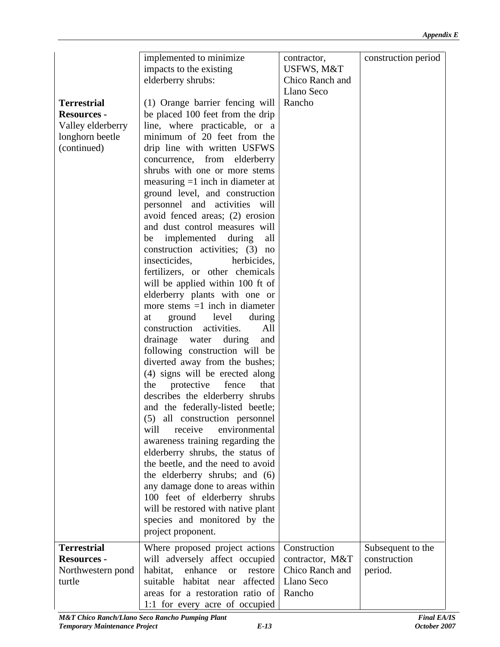|                    | implemented to minimize                                       |                           | construction period |
|--------------------|---------------------------------------------------------------|---------------------------|---------------------|
|                    |                                                               | contractor,<br>USFWS, M&T |                     |
|                    | impacts to the existing                                       |                           |                     |
|                    | elderberry shrubs:                                            | Chico Ranch and           |                     |
|                    |                                                               | Llano Seco                |                     |
| <b>Terrestrial</b> | (1) Orange barrier fencing will   Rancho                      |                           |                     |
| <b>Resources -</b> | be placed 100 feet from the drip                              |                           |                     |
| Valley elderberry  | line, where practicable, or a                                 |                           |                     |
| longhorn beetle    | minimum of 20 feet from the                                   |                           |                     |
| (continued)        | drip line with written USFWS                                  |                           |                     |
|                    | concurrence, from elderberry                                  |                           |                     |
|                    | shrubs with one or more stems                                 |                           |                     |
|                    | measuring $=1$ inch in diameter at                            |                           |                     |
|                    | ground level, and construction                                |                           |                     |
|                    | personnel and activities will                                 |                           |                     |
|                    | avoid fenced areas; (2) erosion                               |                           |                     |
|                    | and dust control measures will                                |                           |                     |
|                    | be implemented during all                                     |                           |                     |
|                    | construction activities; (3) no                               |                           |                     |
|                    | herbicides,<br>insecticides,                                  |                           |                     |
|                    | fertilizers, or other chemicals                               |                           |                     |
|                    | will be applied within 100 ft of                              |                           |                     |
|                    | elderberry plants with one or                                 |                           |                     |
|                    | more stems $=1$ inch in diameter                              |                           |                     |
|                    | at ground level during                                        |                           |                     |
|                    | $\vert$ construction activities. All $\vert$                  |                           |                     |
|                    | drainage water during and                                     |                           |                     |
|                    | following construction will be                                |                           |                     |
|                    | diverted away from the bushes;                                |                           |                     |
|                    | (4) signs will be erected along                               |                           |                     |
|                    | the protective fence that                                     |                           |                     |
|                    | describes the elderberry shrubs                               |                           |                     |
|                    | and the federally-listed beetle;                              |                           |                     |
|                    | (5) all construction personnel                                |                           |                     |
|                    | will receive environmental                                    |                           |                     |
|                    | awareness training regarding the                              |                           |                     |
|                    | elderberry shrubs, the status of                              |                           |                     |
|                    | the beetle, and the need to avoid                             |                           |                     |
|                    | the elderberry shrubs; and (6)                                |                           |                     |
|                    | any damage done to areas within                               |                           |                     |
|                    | 100 feet of elderberry shrubs                                 |                           |                     |
|                    | will be restored with native plant                            |                           |                     |
|                    | species and monitored by the                                  |                           |                     |
|                    | project proponent.                                            |                           |                     |
| <b>Terrestrial</b> | Where proposed project actions Construction                   |                           | Subsequent to the   |
| <b>Resources -</b> | will adversely affect occupied contractor, $M&T$ construction |                           |                     |
| Northwestern pond  | habitat, enhance or restore Chico Ranch and period.           |                           |                     |
| turtle             | suitable habitat near affected Llano Seco                     |                           |                     |
|                    | areas for a restoration ratio of Rancho                       |                           |                     |
|                    | 1:1 for every acre of occupied                                |                           |                     |
|                    |                                                               |                           |                     |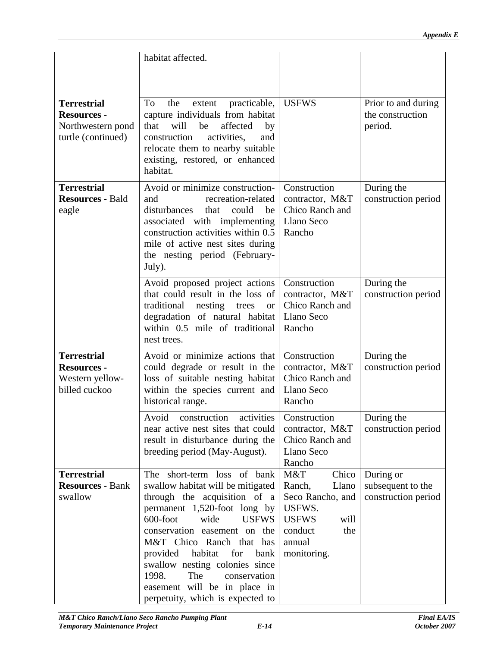|                                                                              | habitat affected.                                                                                                                                                                                                                                                                                                                                                                                                                                                                            |                      |                                                    |
|------------------------------------------------------------------------------|----------------------------------------------------------------------------------------------------------------------------------------------------------------------------------------------------------------------------------------------------------------------------------------------------------------------------------------------------------------------------------------------------------------------------------------------------------------------------------------------|----------------------|----------------------------------------------------|
|                                                                              |                                                                                                                                                                                                                                                                                                                                                                                                                                                                                              |                      |                                                    |
| <b>Terrestrial</b><br><b>Resources -</b><br>turtle (continued)               | To the extent practicable, USFWS<br>capture individuals from habitat<br>Northwestern pond   that will be affected by<br>construction activities, and<br>relocate them to nearby suitable<br>existing, restored, or enhanced<br>habitat.                                                                                                                                                                                                                                                      |                      | Prior to and during<br>the construction<br>period. |
| <b>Terrestrial</b><br><b>Resources - Bald</b><br>eagle                       | Avoid or minimize construction- Construction<br>recreation-related   contractor, M&T<br>and<br>disturbances that could be Chico Ranch and<br>associated with implementing   Llano Seco<br>construction activities within $0.5 \mid$ Rancho<br>mile of active nest sites during<br>the nesting period (February-<br>July).                                                                                                                                                                    |                      | During the<br>construction period                  |
|                                                                              | Avoid proposed project actions Construction<br>that could result in the loss of contractor, M&T<br>traditional nesting trees or Chico Ranch and<br>degradation of natural habitat   Llano Seco<br>within 0.5 mile of traditional Rancho<br>nest trees.                                                                                                                                                                                                                                       |                      | During the<br>construction period                  |
| <b>Terrestrial</b><br><b>Resources -</b><br>Western yellow-<br>billed cuckoo | Avoid or minimize actions that Construction<br>could degrade or result in the contractor, M&T<br>loss of suitable nesting habitat   Chico Ranch and<br>within the species current and Llano Seco<br>historical range.                                                                                                                                                                                                                                                                        | Rancho               | During the<br>construction period                  |
|                                                                              | Avoid construction activities Construction<br>near active nest sites that could contractor, $M&T$ construction period<br>result in disturbance during the Chico Ranch and<br>breeding period (May-August).                                                                                                                                                                                                                                                                                   | Llano Seco<br>Rancho | During the                                         |
| Terrestrial<br><b>Resources - Bank</b><br>swallow                            | The short-term loss of bank M&T<br>swallow habitat will be mitigated   Ranch,<br>through the acquisition of a Seco Rancho, and construction period<br>permanent $1,520$ -foot long by USFWS.<br>600-foot wide USFWS USFWS<br>$\cos$ conservation easement on the conduct<br>M&T Chico Ranch that has annual<br>provided habitat for bank monitoring.<br>swallow nesting colonies since<br>1998. The conservation<br>easement will be in place in<br>perpetuity, which is expected to $\vert$ | will<br>the          | Chico   During or<br>Llano subsequent to the       |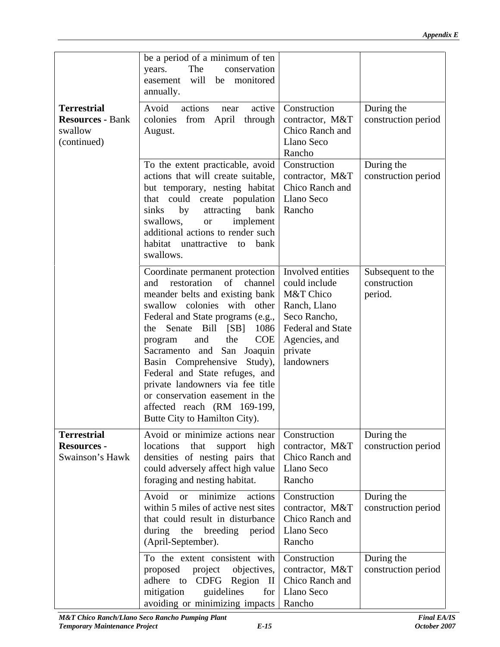|                    | be a period of a minimum of ten $\vert$                                                                                                   |              |
|--------------------|-------------------------------------------------------------------------------------------------------------------------------------------|--------------|
|                    | The conservation<br>years.<br>easement will be monitored                                                                                  |              |
|                    | annually.                                                                                                                                 |              |
| Terrestrial        | Avoid actions near active Construction                                                                                                    | During the   |
|                    | <b>Resources - Bank</b> colonies from April through contractor, M&T construction period                                                   |              |
| swallow            | Chico Ranch and<br>August.                                                                                                                |              |
| (continued)        | Llano Seco                                                                                                                                |              |
|                    | Rancho                                                                                                                                    |              |
|                    | To the extent practicable, avoid Construction<br>actions that will create suitable, contractor, $M&T$ construction period                 | During the   |
|                    | but temporary, nesting habitat   Chico Ranch and                                                                                          |              |
|                    | that could create population   Llano Seco                                                                                                 |              |
|                    | sinks by attracting bank Rancho                                                                                                           |              |
|                    | swallows, or implement                                                                                                                    |              |
|                    | additional actions to render such                                                                                                         |              |
|                    | habitat unattractive to bank<br>swallows.                                                                                                 |              |
|                    |                                                                                                                                           |              |
|                    | Coordinate permanent protection   Involved entities   Subsequent to the<br>and restoration of channel could include                       | construction |
|                    | meander belts and existing bank   M&T Chico                                                                                               | period.      |
|                    | swallow colonies with other Ranch, Llano                                                                                                  |              |
|                    | Federal and State programs (e.g., Seco Rancho,                                                                                            |              |
|                    | the Senate Bill [SB] 1086   Federal and State                                                                                             |              |
|                    | program and the $COE$ Agencies, and                                                                                                       |              |
|                    | Sacramento and San Joaquin private<br>Basin Comprehensive Study), andowners                                                               |              |
|                    | Federal and State refuges, and                                                                                                            |              |
|                    | private landowners via fee title                                                                                                          |              |
|                    | or conservation easement in the                                                                                                           |              |
|                    | affected reach $(RM 169-199, )$                                                                                                           |              |
|                    | Butte City to Hamilton City).                                                                                                             |              |
| <b>Terrestrial</b> | Avoid or minimize actions near Construction                                                                                               | During the   |
| <b>Resources -</b> | locations that support high   contractor, $M&T$   construction period                                                                     |              |
|                    | Swainson's Hawk densities of nesting pairs that Chico Ranch and                                                                           |              |
|                    | could adversely affect high value   Llano Seco<br>Rancho<br>foraging and nesting habitat.                                                 |              |
|                    |                                                                                                                                           |              |
|                    | Avoid or minimize actions Construction<br>within 5 miles of active nest sites $\vert$ contractor, M&T $\vert$ construction period $\vert$ | During the   |
|                    | that could result in disturbance   Chico Ranch and                                                                                        |              |
|                    | during the breeding period Llano Seco                                                                                                     |              |
|                    | Rancho<br>(April-September).                                                                                                              |              |
|                    | To the extent consistent with $\vert$ Construction                                                                                        | During the   |
|                    |                                                                                                                                           |              |
|                    | adhere to CDFG Region II Chico Ranch and                                                                                                  |              |
|                    | mitigation guidelines for Llano Seco                                                                                                      |              |
|                    | avoiding or minimizing impacts   Rancho                                                                                                   |              |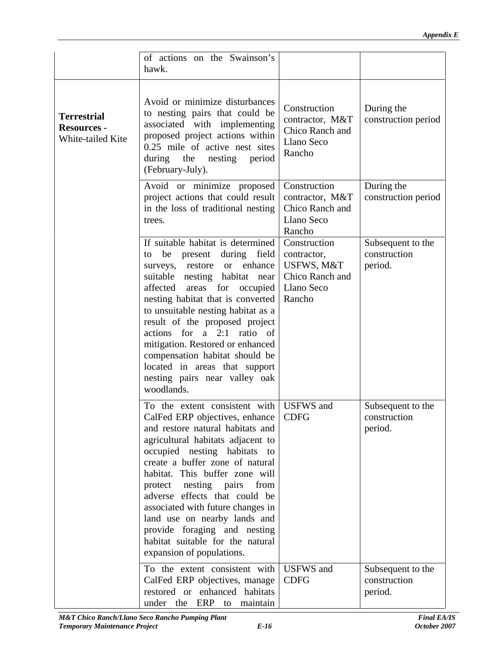|                    | of actions on the Swainson's                                                                                                                                                                                                                                         |            |                   |
|--------------------|----------------------------------------------------------------------------------------------------------------------------------------------------------------------------------------------------------------------------------------------------------------------|------------|-------------------|
|                    | hawk.                                                                                                                                                                                                                                                                |            |                   |
|                    |                                                                                                                                                                                                                                                                      |            |                   |
|                    |                                                                                                                                                                                                                                                                      |            |                   |
|                    |                                                                                                                                                                                                                                                                      |            |                   |
| <b>Terrestrial</b> | Avoid or minimize disturbances<br>to nesting pairs that could be<br>associated with implementing<br>proposed project actions within<br>0.25 mile of active nest sites<br>during the nesting period<br>$\begin{bmatrix} 1 & 0 & 0 \\ 0.25 & 0.25 \\ 0.05 & 0.25 \\ 0$ |            |                   |
|                    |                                                                                                                                                                                                                                                                      |            |                   |
| <b>Resources -</b> |                                                                                                                                                                                                                                                                      |            |                   |
| White-tailed Kite  |                                                                                                                                                                                                                                                                      |            |                   |
|                    |                                                                                                                                                                                                                                                                      |            |                   |
|                    |                                                                                                                                                                                                                                                                      |            |                   |
|                    | (February-July).                                                                                                                                                                                                                                                     |            |                   |
|                    | Avoid or minimize proposed Construction                                                                                                                                                                                                                              |            | During the        |
|                    | project actions that could result contractor, $M&T$ construction period                                                                                                                                                                                              |            |                   |
|                    | in the loss of traditional nesting $\vert$ Chico Ranch and                                                                                                                                                                                                           |            |                   |
|                    | trees.                                                                                                                                                                                                                                                               | Llano Seco |                   |
|                    |                                                                                                                                                                                                                                                                      | Rancho     |                   |
|                    | If suitable habitat is determined Construction                                                                                                                                                                                                                       |            | Subsequent to the |
|                    |                                                                                                                                                                                                                                                                      |            |                   |
|                    | to be present during field contractor,                                                                                                                                                                                                                               |            | construction      |
|                    | surveys, restore or enhance USFWS, M&T                                                                                                                                                                                                                               |            | period.           |
|                    | suitable nesting habitat near   Chico Ranch and                                                                                                                                                                                                                      |            |                   |
|                    | affected areas for occupied Llano Seco                                                                                                                                                                                                                               |            |                   |
|                    | nesting habitat that is converted   Rancho                                                                                                                                                                                                                           |            |                   |
|                    | to unsuitable nesting habitat as a                                                                                                                                                                                                                                   |            |                   |
|                    | result of the proposed project                                                                                                                                                                                                                                       |            |                   |
|                    | actions for a 2:1 ratio of                                                                                                                                                                                                                                           |            |                   |
|                    | mitigation. Restored or enhanced                                                                                                                                                                                                                                     |            |                   |
|                    | compensation habitat should be                                                                                                                                                                                                                                       |            |                   |
|                    | located in areas that support                                                                                                                                                                                                                                        |            |                   |
|                    | nesting pairs near valley oak                                                                                                                                                                                                                                        |            |                   |
|                    | woodlands.                                                                                                                                                                                                                                                           |            |                   |
|                    |                                                                                                                                                                                                                                                                      |            |                   |
|                    | To the extent consistent with USFWS and                                                                                                                                                                                                                              |            | Subsequent to the |
|                    | CalFed ERP objectives, enhance CDFG                                                                                                                                                                                                                                  |            | construction      |
|                    | and restore natural habitats and                                                                                                                                                                                                                                     |            | period.           |
|                    | agricultural habitats adjacent to                                                                                                                                                                                                                                    |            |                   |
|                    | occupied nesting habitats to                                                                                                                                                                                                                                         |            |                   |
|                    | create a buffer zone of natural                                                                                                                                                                                                                                      |            |                   |
|                    | habitat. This buffer zone will                                                                                                                                                                                                                                       |            |                   |
|                    | protect nesting pairs from                                                                                                                                                                                                                                           |            |                   |
|                    | adverse effects that could be                                                                                                                                                                                                                                        |            |                   |
|                    | associated with future changes in                                                                                                                                                                                                                                    |            |                   |
|                    | land use on nearby lands and $\vert$                                                                                                                                                                                                                                 |            |                   |
|                    | provide foraging and nesting                                                                                                                                                                                                                                         |            |                   |
|                    | habitat suitable for the natural                                                                                                                                                                                                                                     |            |                   |
|                    | expansion of populations.                                                                                                                                                                                                                                            |            |                   |
|                    |                                                                                                                                                                                                                                                                      |            |                   |
|                    | To the extent consistent with USFWS and                                                                                                                                                                                                                              |            | Subsequent to the |
|                    | CalFed ERP objectives, manage   CDFG                                                                                                                                                                                                                                 |            | construction      |
|                    | restored or enhanced habitats                                                                                                                                                                                                                                        |            | period.           |
|                    | under the ERP to maintain                                                                                                                                                                                                                                            |            |                   |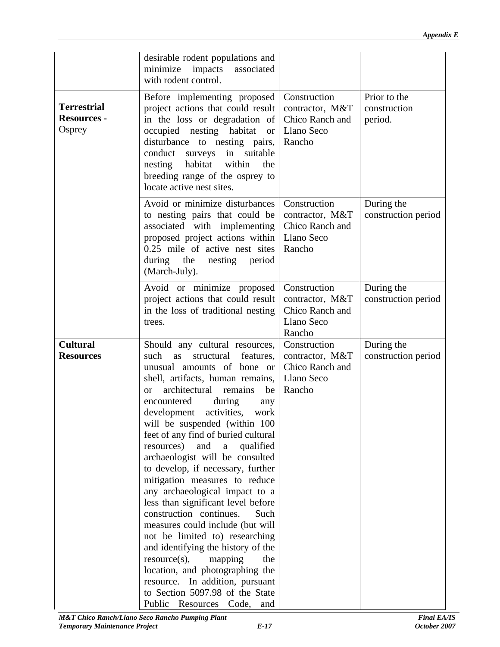|                                                    | desirable rodent populations and<br>minimize impacts associated<br>with rodent control.                                                                                                                                                                                                                                                                                                                                                                                                                                                                                                                                                                                                                                                                                                                                  |                      |                                         |
|----------------------------------------------------|--------------------------------------------------------------------------------------------------------------------------------------------------------------------------------------------------------------------------------------------------------------------------------------------------------------------------------------------------------------------------------------------------------------------------------------------------------------------------------------------------------------------------------------------------------------------------------------------------------------------------------------------------------------------------------------------------------------------------------------------------------------------------------------------------------------------------|----------------------|-----------------------------------------|
| <b>Terrestrial</b><br><b>Resources -</b><br>Osprey | Before implementing proposed Construction<br>project actions that could result contractor, M&T<br>in the loss or degradation of $ $ Chico Ranch and<br>occupied nesting habitat or Llano Seco<br>disturbance to nesting pairs, Rancho<br>conduct surveys in suitable<br>nesting habitat within the<br>breeding range of the osprey to<br>locate active nest sites.                                                                                                                                                                                                                                                                                                                                                                                                                                                       |                      | Prior to the<br>construction<br>period. |
|                                                    | Avoid or minimize disturbances Construction<br>to nesting pairs that could be contractor, $M&T$<br>associated with implementing   Chico Ranch and<br>proposed project actions within   Llano Seco<br>$0.25$ mile of active nest sites Rancho<br>during the nesting period<br>(March-July).                                                                                                                                                                                                                                                                                                                                                                                                                                                                                                                               |                      | During the<br>construction period       |
|                                                    | Avoid or minimize proposed Construction<br>project actions that could result contractor, M&T<br>in the loss of traditional nesting   Chico Ranch and<br>trees.                                                                                                                                                                                                                                                                                                                                                                                                                                                                                                                                                                                                                                                           | Llano Seco<br>Rancho | During the<br>construction period       |
| <b>Cultural</b><br><b>Resources</b>                | Should any cultural resources, Construction<br>such as structural features, contractor, M&T<br>unusual amounts of bone or<br>shell, artifacts, human remains, Llano Seco<br>or architectural remains be Rancho<br>during<br>encountered<br>any<br>development activities, work<br>will be suspended (within $100$<br>feet of any find of buried cultural<br>resources) and a qualified<br>archaeologist will be consulted<br>to develop, if necessary, further<br>mitigation measures to reduce<br>any archaeological impact to a<br>less than significant level before<br>construction continues. Such<br>measures could include (but will<br>not be limited to) researching<br>and identifying the history of the<br>$resource(s)$ , mapping the<br>location, and photographing the<br>resource. In addition, pursuant | Chico Ranch and      | During the<br>construction period       |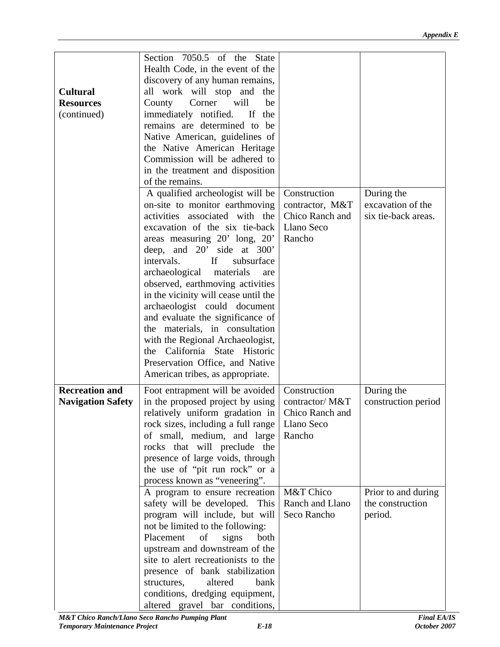|                       | Section 7050.5 of the State                                                        |                     |
|-----------------------|------------------------------------------------------------------------------------|---------------------|
|                       | Health Code, in the event of the                                                   |                     |
|                       | discovery of any human remains,                                                    |                     |
| <b>Cultural</b>       | all work will stop and the                                                         |                     |
| <b>Resources</b>      | County Corner will be                                                              |                     |
| (continued)           | immediately notified. If the                                                       |                     |
|                       |                                                                                    |                     |
|                       | remains are determined to be                                                       |                     |
|                       | Native American, guidelines of                                                     |                     |
|                       | the Native American Heritage                                                       |                     |
|                       | Commission will be adhered to                                                      |                     |
|                       | in the treatment and disposition                                                   |                     |
|                       | of the remains.                                                                    |                     |
|                       | A qualified archeologist will be $\vert$ Construction                              | During the          |
|                       | on-site to monitor earthmoving contractor, M&T                                     | excavation of the   |
|                       | activities associated with the Chico Ranch and                                     | six tie-back areas. |
|                       | excavation of the six tie-back   Llano Seco                                        |                     |
|                       | areas measuring $20'$ long, $20'$ Rancho                                           |                     |
|                       | deep, and 20' side at 300'                                                         |                     |
|                       | If<br>subsurface<br>intervals.                                                     |                     |
|                       | archaeological materials are                                                       |                     |
|                       | observed, earthmoving activities                                                   |                     |
|                       | in the vicinity will cease until the $\vert$                                       |                     |
|                       | archaeologist could document                                                       |                     |
|                       | and evaluate the significance of                                                   |                     |
|                       | the materials, in consultation                                                     |                     |
|                       | with the Regional Archaeologist,                                                   |                     |
|                       | the California State Historic                                                      |                     |
|                       | Preservation Office, and Native                                                    |                     |
|                       |                                                                                    |                     |
|                       | American tribes, as appropriate.                                                   |                     |
| <b>Recreation and</b> | Foot entrapment will be avoided   Construction                                     | During the          |
|                       | <b>Navigation Safety</b>   in the proposed project by using $\vert$ contractor/M&T | construction period |
|                       | relatively uniform gradation in Chico Ranch and                                    |                     |
|                       | rock sizes, including a full range   Llano Seco                                    |                     |
|                       | of small, medium, and large Rancho                                                 |                     |
|                       | rocks that will preclude the                                                       |                     |
|                       | presence of large voids, through                                                   |                     |
|                       | the use of "pit run rock" or a                                                     |                     |
|                       | process known as "veneering".                                                      |                     |
|                       | A program to ensure recreation $\sqrt{\text{M&T} \text{Chico}}$                    | Prior to and during |
|                       | safety will be developed. This   Ranch and Llano                                   | the construction    |
|                       | program will include, but will Seco Rancho                                         | period.             |
|                       | not be limited to the following:                                                   |                     |
|                       |                                                                                    |                     |
|                       | Placement of signs both                                                            |                     |
|                       | upstream and downstream of the                                                     |                     |
|                       | site to alert recreationists to the                                                |                     |
|                       | presence of bank stabilization                                                     |                     |
|                       | structures, altered bank                                                           |                     |
|                       | conditions, dredging equipment,                                                    |                     |
|                       | altered gravel bar conditions,                                                     |                     |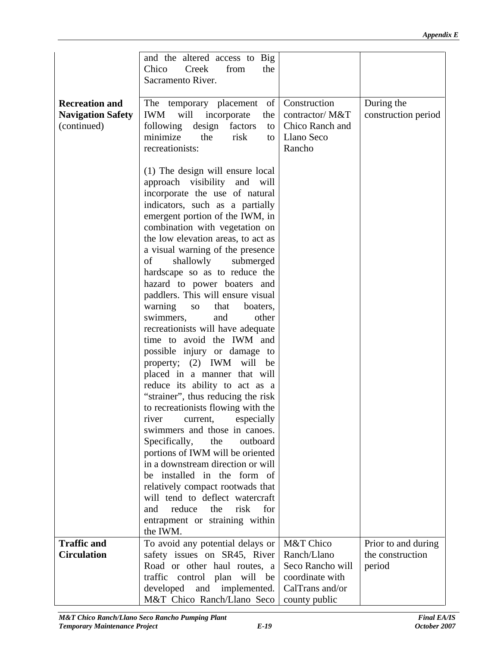|                       | and the altered access to Big                                                              |        |                     |
|-----------------------|--------------------------------------------------------------------------------------------|--------|---------------------|
|                       | Chico Creek from the                                                                       |        |                     |
|                       | Sacramento River.                                                                          |        |                     |
|                       |                                                                                            |        |                     |
| <b>Recreation and</b> | The temporary placement of Construction                                                    |        | During the          |
|                       | Navigation Safety   IWM will incorporate the   contractor/M&T   construction period        |        |                     |
| (continued)           | following design factors to Chico Ranch and                                                |        |                     |
|                       | minimize the risk to Llano Seco                                                            |        |                     |
|                       | recreationists:                                                                            | Rancho |                     |
|                       |                                                                                            |        |                     |
|                       | $(1)$ The design will ensure local                                                         |        |                     |
|                       | approach visibility and will                                                               |        |                     |
|                       | incorporate the use of natural                                                             |        |                     |
|                       | indicators, such as a partially                                                            |        |                     |
|                       | emergent portion of the IWM, in                                                            |        |                     |
|                       | combination with vegetation on<br>the low elevation areas, to act as                       |        |                     |
|                       | a visual warning of the presence                                                           |        |                     |
|                       | of shallowly submerged                                                                     |        |                     |
|                       | hardscape so as to reduce the                                                              |        |                     |
|                       | hazard to power boaters and                                                                |        |                     |
|                       | paddlers. This will ensure visual                                                          |        |                     |
|                       | warning so that boaters,                                                                   |        |                     |
|                       | swimmers, and other                                                                        |        |                     |
|                       | recreationists will have adequate                                                          |        |                     |
|                       | time to avoid the IWM and                                                                  |        |                     |
|                       | possible injury or damage to                                                               |        |                     |
|                       | property; (2) IWM will be                                                                  |        |                     |
|                       | placed in a manner that will                                                               |        |                     |
|                       | reduce its ability to act as a                                                             |        |                     |
|                       | "strainer", thus reducing the risk                                                         |        |                     |
|                       | to recreationists flowing with the                                                         |        |                     |
|                       | river current, especially<br>swimmers and those in canoes.                                 |        |                     |
|                       | Specifically, the outboard                                                                 |        |                     |
|                       | portions of IWM will be oriented                                                           |        |                     |
|                       | in a downstream direction or will                                                          |        |                     |
|                       | be installed in the form of                                                                |        |                     |
|                       | relatively compact rootwads that                                                           |        |                     |
|                       | will tend to deflect watercraft                                                            |        |                     |
|                       | and reduce the risk for                                                                    |        |                     |
|                       | entrapment or straining within                                                             |        |                     |
|                       | the IWM.                                                                                   |        |                     |
| <b>Traffic and</b>    | To avoid any potential delays or M&T Chico                                                 |        | Prior to and during |
| <b>Circulation</b>    | safety issues on SR45, River Ranch/Llano                                                   |        | the construction    |
|                       | Road or other haul routes, a Seco Rancho will period                                       |        |                     |
|                       | traffic control plan will be coordinate with<br>developed and implemented. CalTrans and/or |        |                     |
|                       | M&T Chico Ranch/Llano Seco county public                                                   |        |                     |
|                       |                                                                                            |        |                     |